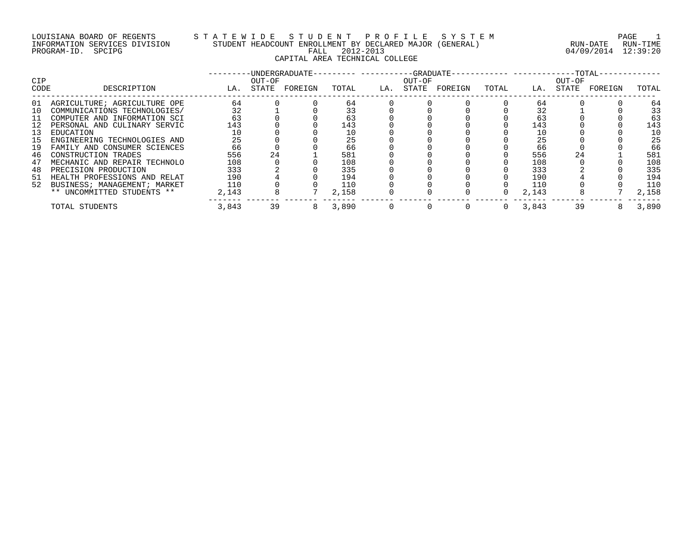## LOUISIANA BOARD OF REGENTS S T A T E W I D E S T U D E N T P R O F I L E S Y S T E M PAGE 1 INFORMATION SERVICES DIVISION STUDENT HEADCOUNT ENROLLMENT BY DECLARED MAJOR (GENERAL) RUN-DATE RUN-TIME PROGRAM-ID. SPCIPG FALL 2012-2013 04/09/2014 12:39:20 CAPITAL AREA TECHNICAL COLLEGE

| <b>CIP</b> |                                 |       | OUT-OF | -UNDERGRADUATE- |       |     | ---GRADUATE-<br>OUT-OF |         |          |       | $-$ -TOTAL-<br>OUT-OF |         |       |
|------------|---------------------------------|-------|--------|-----------------|-------|-----|------------------------|---------|----------|-------|-----------------------|---------|-------|
| CODE       | DESCRIPTION                     | LA.   | STATE  | FOREIGN         | TOTAL | LA. | STATE                  | FOREIGN | TOTAL    | LA.   | STATE                 | FOREIGN | TOTAL |
| 01         | AGRICULTURE; AGRICULTURE OPE    | 64    |        |                 | 64    |     |                        |         |          | 64    |                       |         | 64    |
| 10         | COMMUNICATIONS TECHNOLOGIES/    | 32    |        |                 | 33    |     |                        |         |          | 32    |                       |         | 33    |
| -11        | COMPUTER AND INFORMATION SCI    | 63    |        |                 | 63    |     |                        |         |          | 63    |                       |         | 63    |
|            | PERSONAL AND CULINARY SERVIC    | 143   |        |                 | 143   |     |                        |         |          | 143   |                       |         | 143   |
| 13         | EDUCATION                       |       |        |                 | 10    |     |                        |         |          |       |                       |         | 10    |
| 15         | ENGINEERING TECHNOLOGIES AND    | 25    |        |                 | 25    |     |                        |         |          | 25    |                       |         | 25    |
| 19         | FAMILY AND CONSUMER SCIENCES    | 66    |        |                 | 66    |     |                        |         |          | 66    |                       |         | 66    |
| 46         | CONSTRUCTION TRADES             | 556   | 24     |                 | 581   |     |                        |         |          | 556   | 24                    |         | 581   |
| 47         | MECHANIC AND REPAIR TECHNOLO    | 108   |        |                 | 108   |     |                        |         |          | 108   |                       |         | 108   |
| 48         | PRECISION PRODUCTION            | 333   |        |                 | 335   |     |                        |         |          | 333   |                       |         | 335   |
| 51         | HEALTH PROFESSIONS AND RELAT    | 190   |        |                 | 194   |     |                        |         |          | 190   |                       |         | 194   |
|            | 52 BUSINESS; MANAGEMENT; MARKET | 110   |        |                 | 110   |     |                        |         |          | 110   |                       |         | 110   |
|            | ** UNCOMMITTED STUDENTS **      | 2,143 |        |                 | 2,158 |     |                        |         |          | 2,143 |                       |         | 2,158 |
|            | TOTAL STUDENTS                  | 3,843 | 39     |                 | 3,890 |     |                        |         | $\Omega$ | 3,843 | 39                    |         | 3,890 |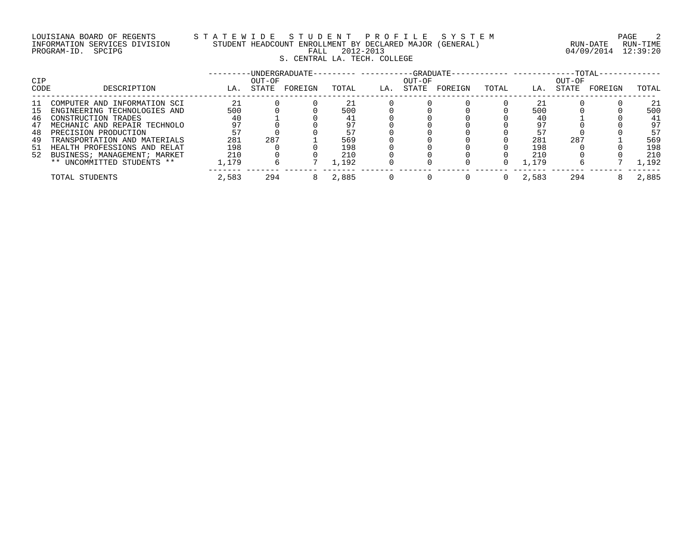# LOUISIANA BOARD OF REGENTS STATEWIDE STUDE STUDENT PROFILE SYSTEM PAGE 2<br>INFORMATION SERVICES DIVISION STUDENT HEADCOUNT ENROLLMENT BY DECLARED MAJOR (GENERAL) NAMEL PROMETIME INFORMATION SERVICES DIVISION STUDENT HEADCOUNT ENROLLMENT BY DECLARED MAJOR (GENERAL)<br>PROGRAM-ID. SPCIPG RUN-DATE RUN-TIME RALL 2012-2013 S. CENTRAL LA. TECH. COLLEGE

04/09/2014 12:39:20

| CIP     |                              |       | OUT-OF | -UNDERGRADUATE- |       |     | OUT-OF | $-GRADIIATE-$ | ---------- ---------- |       | $-TOTAL-$<br>OUT-OF |         |       |
|---------|------------------------------|-------|--------|-----------------|-------|-----|--------|---------------|-----------------------|-------|---------------------|---------|-------|
| CODE    | DESCRIPTION                  | LA.   | STATE  | FOREIGN         | TOTAL | LA. | STATE  | FOREIGN       | TOTAL                 | LA.   | STATE               | FOREIGN | TOTAL |
| -11     | COMPUTER AND INFORMATION SCI | 21    |        |                 |       |     |        |               |                       |       |                     |         | 21    |
| $\perp$ | ENGINEERING TECHNOLOGIES AND | 500   |        |                 | 500   |     |        |               |                       | 500   |                     |         | 500   |
| 46      | CONSTRUCTION TRADES          | 4 C   |        |                 |       |     |        |               |                       | 40    |                     |         | 41    |
| 47      | MECHANIC AND REPAIR TECHNOLO | 97    |        |                 |       |     |        |               |                       | 97    |                     |         | 97    |
| 48      | PRECISION PRODUCTION         | 57    |        |                 | 57    |     |        |               |                       | 57    |                     |         | 57    |
| 49      | TRANSPORTATION AND MATERIALS | 281   | 287    |                 | 569   |     |        |               |                       | 281   | 287                 |         | 569   |
| -51     | HEALTH PROFESSIONS AND RELAT | 198   |        |                 | 198   |     |        |               |                       | 198   |                     |         | 198   |
| 52      | BUSINESS; MANAGEMENT; MARKET | 210   |        |                 | 210   |     |        |               |                       | 210   |                     |         | 210   |
|         | ** UNCOMMITTED STUDENTS **   | ,179  |        |                 | 1,192 |     |        |               |                       | 1,179 |                     |         | ,192  |
|         | TOTAL STUDENTS               | 2,583 | 294    |                 | 2,885 |     |        |               |                       | 2,583 | 294                 |         | 2,885 |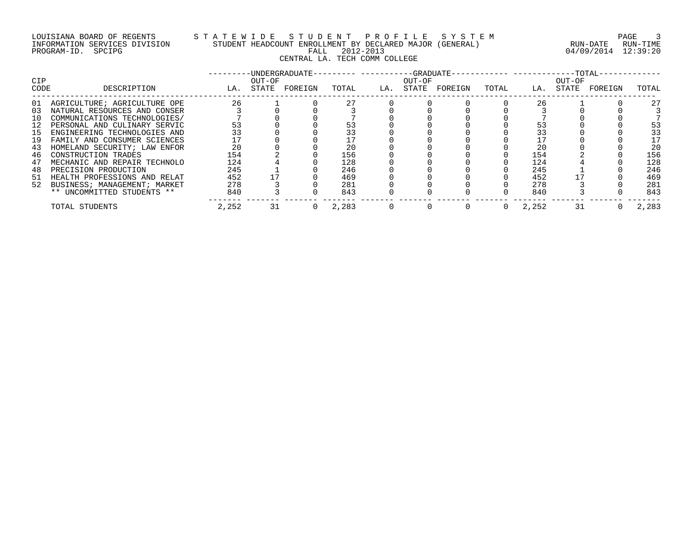## LOUISIANA BOARD OF REGENTS S T A T E W I D E S T U D E N T P R O F I L E S Y S T E M PAGE 3 INFORMATION SERVICES DIVISION STUDENT HEADCOUNT ENROLLMENT BY DECLARED MAJOR (GENERAL) RUN-DATE RUN-TIME PROGRAM-ID. SPCIPG FALL 2012-2013 04/09/2014 12:39:20 CENTRAL LA. TECH COMM COLLEGE

| <b>CIP</b> |                                 |       | OUT-OF | -UNDERGRADUATE- |       |     | OUT-OF |         |       |       | OUT-OF |         |       |
|------------|---------------------------------|-------|--------|-----------------|-------|-----|--------|---------|-------|-------|--------|---------|-------|
| CODE       | DESCRIPTION                     | LA.   | STATE  | FOREIGN         | TOTAL | LA. | STATE  | FOREIGN | TOTAL | LA.   | STATE  | FOREIGN | TOTAL |
| 01         | AGRICULTURE; AGRICULTURE OPE    | 26    |        |                 | 27    |     |        |         |       | 26    |        |         | 27    |
| 03         | NATURAL RESOURCES AND CONSER    |       |        |                 |       |     |        |         |       |       |        |         |       |
| 10         | COMMUNICATIONS TECHNOLOGIES/    |       |        |                 |       |     |        |         |       |       |        |         |       |
| 12         | PERSONAL AND CULINARY SERVIC    | 53    |        |                 | 53    |     |        |         |       |       |        |         | 53    |
| 15         | ENGINEERING TECHNOLOGIES AND    | 33    |        |                 | 33    |     |        |         |       |       |        |         | 33    |
| 19         | FAMILY AND CONSUMER SCIENCES    |       |        |                 |       |     |        |         |       |       |        |         | 17    |
| 43         | HOMELAND SECURITY; LAW ENFOR    | 20    |        |                 | 20    |     |        |         |       | 20    |        |         | 20    |
| 46         | CONSTRUCTION TRADES             | 154   |        |                 | 156   |     |        |         |       | 154   |        |         | 156   |
| 47         | MECHANIC AND REPAIR TECHNOLO    | 124   |        |                 | 128   |     |        |         |       | 124   |        |         | 128   |
| 48         | PRECISION PRODUCTION            | 245   |        |                 | 246   |     |        |         |       | 245   |        |         | 246   |
|            | 51 HEALTH PROFESSIONS AND RELAT | 452   |        |                 | 469   |     |        |         |       | 452   |        |         | 469   |
|            | 52 BUSINESS; MANAGEMENT; MARKET | 278   |        |                 | 281   |     |        |         |       | 278   |        |         | 281   |
|            | ** UNCOMMITTED STUDENTS **      | 840   |        |                 | 843   |     |        |         |       | 840   |        |         | 843   |
|            | TOTAL STUDENTS                  | 2,252 | 31     |                 | 2,283 |     |        |         |       | 2,252 | 31     |         | 2,283 |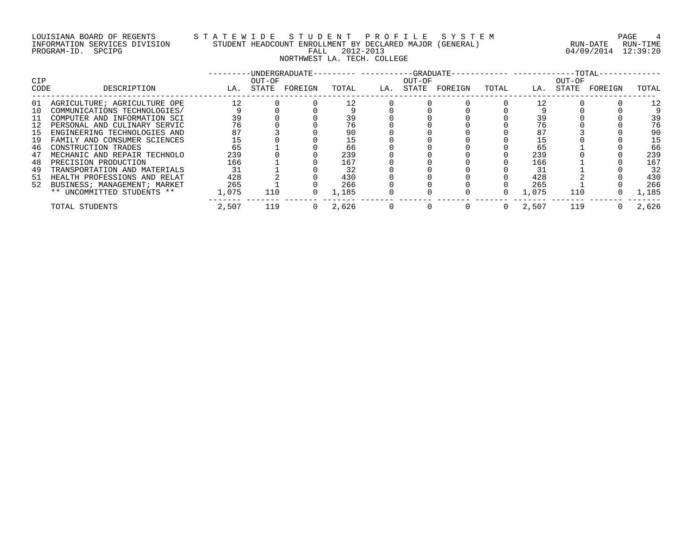## LOUISIANA BOARD OF REGENTS S T A T E W I D E S T U D E N T P R O F I L E S Y S T E M PAGE 4 INFORMATION SERVICES DIVISION STUDENT HEADCOUNT ENROLLMENT BY DECLARED MAJOR (GENERAL) RUN-DATE RUN-TIME PROGRAM-ID. SPCIPG FALL 2012-2013 04/09/2014 12:39:20 NORTHWEST LA. TECH. COLLEGE

| <b>CIP</b><br>CODE | DESCRIPTION                  | LA.   | OUT-OF<br>STATE | -UNDERGRADUATE-<br>FOREIGN | TOTAL | LA. | $---GRADUATE-$<br>OUT-OF<br>STATE | FOREIGN | TOTAL | LA.   | --TOTAL-<br>OUT-OF<br>STATE | FOREIGN | TOTAL |
|--------------------|------------------------------|-------|-----------------|----------------------------|-------|-----|-----------------------------------|---------|-------|-------|-----------------------------|---------|-------|
|                    |                              |       |                 |                            |       |     |                                   |         |       |       |                             |         |       |
| 01                 | AGRICULTURE; AGRICULTURE OPE | 12    |                 |                            | 12    |     |                                   |         |       | 12    |                             |         | 12    |
| 10                 | COMMUNICATIONS TECHNOLOGIES/ |       |                 |                            |       |     |                                   |         |       |       |                             |         |       |
| 11                 | COMPUTER AND INFORMATION SCI | 39    |                 |                            | 39    |     |                                   |         |       | 39    |                             |         | 39    |
| 12                 | PERSONAL AND CULINARY SERVIC | 76    |                 |                            | 76    |     |                                   |         |       | 76    |                             |         | 76    |
| 15                 | ENGINEERING TECHNOLOGIES AND | 87    |                 |                            | 90    |     |                                   |         |       | 87    |                             |         | 90    |
| 19                 | FAMILY AND CONSUMER SCIENCES | 15    |                 |                            | 15    |     |                                   |         |       | 15    |                             |         | 15    |
| 46                 | CONSTRUCTION TRADES          | 65    |                 |                            | 66    |     |                                   |         |       | 65    |                             |         | 66    |
| 47                 | MECHANIC AND REPAIR TECHNOLO | 239   |                 |                            | 239   |     |                                   |         |       | 239   |                             |         | 239   |
| 48                 | PRECISION PRODUCTION         | 166   |                 |                            | 167   |     |                                   |         |       | 166   |                             |         | 167   |
| 49                 | TRANSPORTATION AND MATERIALS | 31    |                 |                            | 32    |     |                                   |         |       | 31    |                             |         | 32    |
| 51                 | HEALTH PROFESSIONS AND RELAT | 428   |                 |                            | 430   |     |                                   |         |       | 428   |                             |         | 430   |
| 52                 | BUSINESS; MANAGEMENT; MARKET | 265   |                 |                            | 266   |     |                                   |         |       | 265   |                             |         | 266   |
|                    | ** UNCOMMITTED STUDENTS **   | 1,075 | 110             |                            | 1,185 |     |                                   |         |       | 1,075 | 110                         |         | L,185 |
|                    | TOTAL STUDENTS               | 2,507 | 119             |                            | 2,626 |     |                                   |         | 0     | 2,507 | 119                         |         | 2,626 |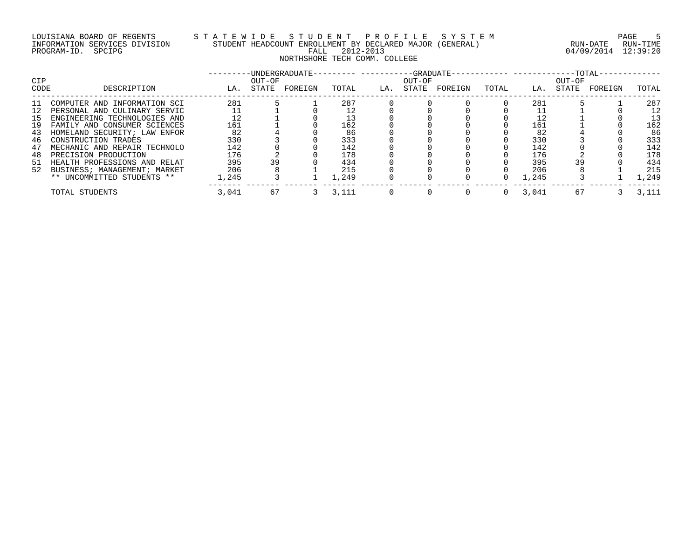## LOUISIANA BOARD OF REGENTS S T A T E W I D E S T U D E N T P R O F I L E S Y S T E M PAGE 5 INFORMATION SERVICES DIVISION STUDENT HEADCOUNT ENROLLMENT BY DECLARED MAJOR (GENERAL) RUN-DATE RUN-TIME PROGRAM-ID. SPCIPG FALL 2012-2013 04/09/2014 12:39:20 NORTHSHORE TECH COMM. COLLEGE

| <b>CIP</b> |                                 |       | OUT-OF | -UNDERGRADUATE- |       |     | --GRADUATE-<br>OUT-OF |         |          |       | OUT-OF | $-TOTAL-$ |       |
|------------|---------------------------------|-------|--------|-----------------|-------|-----|-----------------------|---------|----------|-------|--------|-----------|-------|
| CODE       | DESCRIPTION                     | LA.   | STATE  | FOREIGN         | TOTAL | LA. | STATE                 | FOREIGN | TOTAL    | LA.   | STATE  | FOREIGN   | TOTAL |
| ᆚ          | COMPUTER AND INFORMATION SCI    | 281   |        |                 | 287   |     |                       |         |          | 281   |        |           | 287   |
|            | PERSONAL AND CULINARY SERVIC    |       |        |                 |       |     |                       |         |          |       |        |           | 12    |
| 15         | ENGINEERING TECHNOLOGIES AND    | 12    |        |                 |       |     |                       |         |          |       |        |           | 13    |
| 19         | FAMILY AND CONSUMER SCIENCES    | 161   |        |                 | 162   |     |                       |         |          | 161   |        |           | 162   |
| 43         | HOMELAND SECURITY; LAW ENFOR    | 82    |        |                 | 86    |     |                       |         |          | 82    |        |           | 86    |
| 46         | CONSTRUCTION TRADES             | 330   |        |                 | 333   |     |                       |         |          | 330   |        |           | 333   |
| 47         | MECHANIC AND REPAIR TECHNOLO    | 142   |        |                 | 142   |     |                       |         |          | 142   |        |           | 142   |
| 48         | PRECISION PRODUCTION            | 176   |        |                 | 178   |     |                       |         |          | 176   |        |           | 178   |
|            | 51 HEALTH PROFESSIONS AND RELAT | 395   | 39     |                 | 434   |     |                       |         |          | 395   | 39     |           | 434   |
|            | 52 BUSINESS; MANAGEMENT; MARKET | 206   |        |                 | 215   |     |                       |         |          | 206   |        |           | 215   |
|            | ** UNCOMMITTED STUDENTS **      | 1,245 |        |                 | 1,249 |     |                       |         |          | 1,245 |        |           | 1,249 |
|            | TOTAL STUDENTS                  | 3,041 | 67     |                 | 3,111 |     |                       |         | $\Omega$ | 3,041 | 67     |           | 3,111 |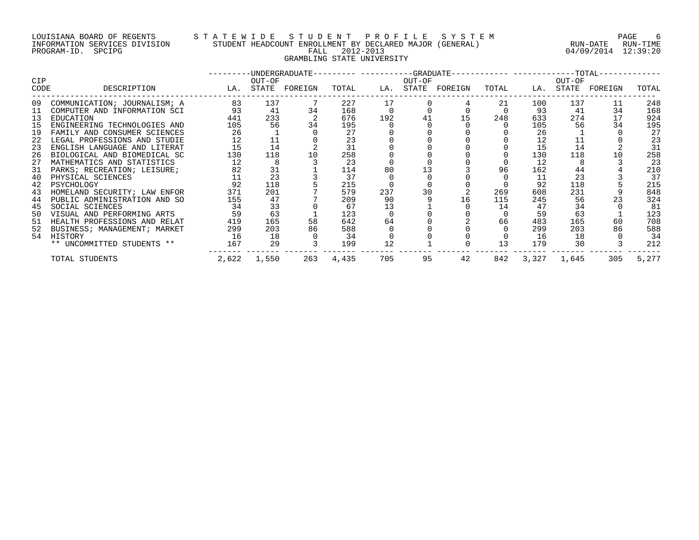## LOUISIANA BOARD OF REGENTS S T A T E W I D E S T U D E N T P R O F I L E S Y S T E M PAGE 6 INFORMATION SERVICES DIVISION STUDENT HEADCOUNT ENROLLMENT BY DECLARED MAJOR (GENERAL) RUN-DATE RUN-TIME PROGRAM-ID. SPCIPG FALL 2012-2013 04/09/2014 12:39:20 GRAMBLING STATE UNIVERSITY

|      |                              |     |             |                   |       |     |        | ---------DINDERGRADUATE--------- ----------GRADUATE----------- ------------TOTAL-- |       |             |        |                   |       |
|------|------------------------------|-----|-------------|-------------------|-------|-----|--------|------------------------------------------------------------------------------------|-------|-------------|--------|-------------------|-------|
| CIP  |                              |     | OUT-OF      |                   |       |     | OUT-OF |                                                                                    |       |             | OUT-OF |                   |       |
| CODE | DESCRIPTION                  |     |             | LA. STATE FOREIGN | TOTAL |     |        | LA. STATE FOREIGN                                                                  | TOTAL |             |        | LA. STATE FOREIGN | TOTAL |
| 09   | COMMUNICATION; JOURNALISM; A | 83  | 137         |                   | 227   | 17  |        |                                                                                    | 21    | 100         | 137    | 11                | 248   |
| 11   | COMPUTER AND INFORMATION SCI | 93  | 41          | 34                | 168   |     |        |                                                                                    |       | 93          | 41     | 34                | 168   |
| 13   | EDUCATION                    | 441 | 233         |                   | 676   | 192 |        |                                                                                    | 248   | 633         | 274    | 17                | 924   |
| 15   | ENGINEERING TECHNOLOGIES AND | 105 | 56          | 34                | 195   |     |        |                                                                                    |       | 105         | 56     | 34                | 195   |
| 19   | FAMILY AND CONSUMER SCIENCES | 26  |             |                   | 27    |     |        |                                                                                    |       | 26          |        |                   | 27    |
| 22   | LEGAL PROFESSIONS AND STUDIE | 12  | 11          |                   | 23    |     |        |                                                                                    |       | 12          | 11     |                   | 23    |
| 23   | ENGLISH LANGUAGE AND LITERAT | 15  | 14          |                   | 31    |     |        |                                                                                    |       | 15          | 14     |                   | 31    |
| 26   | BIOLOGICAL AND BIOMEDICAL SC | 130 | 118         | 10                | 258   |     |        |                                                                                    |       | 130         | 118    | 10                | 258   |
| 27   | MATHEMATICS AND STATISTICS   | 12  | 8           |                   | 23    |     |        |                                                                                    |       | 12          |        |                   | 23    |
| 31   | PARKS; RECREATION; LEISURE;  | 82  | 31          |                   | 114   | 80  |        |                                                                                    | 96    | 162         | 44     |                   | 210   |
| 40   | PHYSICAL SCIENCES            | 11  | 23          |                   | 37    |     |        |                                                                                    |       | 11          | 23     |                   | 37    |
| 42   | PSYCHOLOGY                   | 92  | 118         |                   | 215   |     |        |                                                                                    |       | 92          | 118    |                   | 215   |
| 43   | HOMELAND SECURITY; LAW ENFOR | 371 | 201         |                   | 579   | 237 | 30     |                                                                                    | 269   | 608         | 231    |                   | 848   |
| 44   | PUBLIC ADMINISTRATION AND SO | 155 | 47          |                   | 209   | 90  |        | 16                                                                                 | 115   | 245         | 56     |                   | 324   |
| 45   | SOCIAL SCIENCES              | 34  | 33          |                   | 67    | 13  |        |                                                                                    | 14    | 47          | 34     |                   | 81    |
| 50   | VISUAL AND PERFORMING ARTS   | 59  | 63          |                   | 123   |     |        |                                                                                    |       | 59          | 63     |                   | 123   |
| 51   | HEALTH PROFESSIONS AND RELAT | 419 | 165         | 58                | 642   | 64  |        |                                                                                    | 66    | 483         | 165    | 60                | 708   |
| 52   | BUSINESS; MANAGEMENT; MARKET | 299 | 203         | 86                | 588   |     |        |                                                                                    |       | 299         | 203    | 86                | 588   |
| 54   | HISTORY                      | 16  | 18          |                   | 34    |     |        |                                                                                    |       | 16          | 18     |                   | 34    |
|      | ** UNCOMMITTED STUDENTS **   | 167 | 29          |                   | 199   | 12  |        |                                                                                    | 13    | 179         | 30     |                   | 212   |
|      | TOTAL STUDENTS               |     | 2,622 1,550 | 263               | 4,435 | 705 | 95     | 42                                                                                 | 842   | 3,327 1,645 |        | 305               | 5,277 |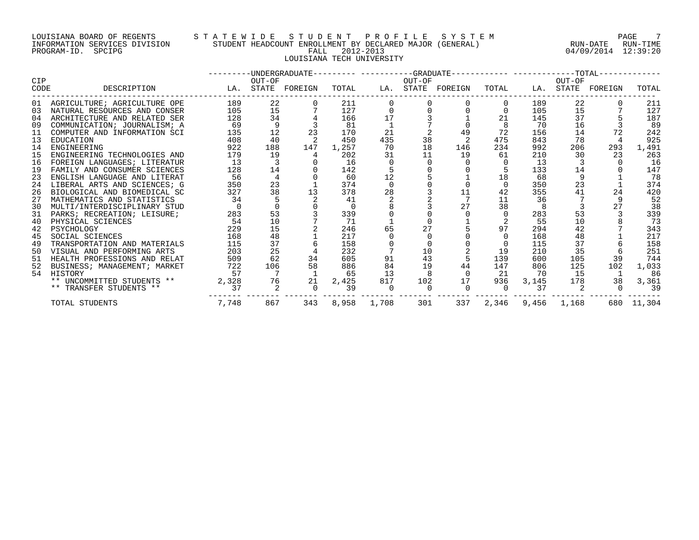#### LOUISIANA BOARD OF REGENTS S T A T E W I D E S T U D E N T P R O F I L E S Y S T E M PAGE 7 INFORMATION SERVICES DIVISION STUDENT HEADCOUNT ENROLLMENT BY DECLARED MAJOR (GENERAL) RUN-DATE RUN-TIME PROGRAM-ID. SPCIPG FALL 2012-2013 04/09/2014 12:39:20 LOUISIANA TECH UNIVERSITY

|            |                                 |       |                | -UNDERGRADUATE--------- ----------GRADUATE----------- ------------TOTAL------ |       |             |        |                   |          |                   |        |                   |            |
|------------|---------------------------------|-------|----------------|-------------------------------------------------------------------------------|-------|-------------|--------|-------------------|----------|-------------------|--------|-------------------|------------|
| <b>CIP</b> |                                 |       | OUT-OF         |                                                                               |       |             | OUT-OF |                   |          |                   | OUT-OF |                   |            |
| CODE       | DESCRIPTION                     |       |                | LA. STATE FOREIGN                                                             | TOTAL |             |        | LA. STATE FOREIGN | TOTAL    |                   |        | LA. STATE FOREIGN | TOTAL      |
|            | 01 AGRICULTURE; AGRICULTURE OPE | 189   | 22             |                                                                               | 211   |             |        |                   |          | 189               | 22     |                   | 211        |
| 0.3        | NATURAL RESOURCES AND CONSER    | 105   | 15             |                                                                               | 127   |             |        |                   |          | 105               | 15     |                   | 127        |
| 04         | ARCHITECTURE AND RELATED SER    | 128   | 34             |                                                                               | 166   | 17          |        |                   | 21       | 145               | 37     |                   | 187        |
| 09         | COMMUNICATION; JOURNALISM; A    | 69    |                |                                                                               | 81    |             |        |                   |          | 70                | 16     |                   | 89         |
| 11         | COMPUTER AND INFORMATION SCI    | 135   | 12             | 23                                                                            | 170   | 21          |        | 49                | 72       | 156               | 14     | 72                | 242        |
| 13         | EDUCATION                       | 408   | 40             |                                                                               | 450   | 435         | 38     |                   | 475      | 843               | 78     |                   | 925        |
| 14         | ENGINEERING                     | 922   | 188            | 147                                                                           | 1,257 | 70          | 18     | 146               | 234      | 992               | 206    | 293               | 1,491      |
| 15         | ENGINEERING TECHNOLOGIES AND    | 179   | 19             |                                                                               | 202   | 31          | 11     | 19                | 61       | 210               | 30     | 23                | 263        |
| 16         | FOREIGN LANGUAGES; LITERATUR    | 13    |                |                                                                               | 16    |             |        |                   |          | 13                |        |                   | 16         |
| 19         | FAMILY AND CONSUMER SCIENCES    | 128   | 14             |                                                                               | 142   |             |        |                   |          | 133               | 14     |                   | 147        |
| 23         | ENGLISH LANGUAGE AND LITERAT    | 56    | $\overline{4}$ |                                                                               | 60    | 12          |        |                   | 18       | 68                |        |                   | 78         |
| 24         | LIBERAL ARTS AND SCIENCES; G    | 350   | 23             |                                                                               | 374   | $\cap$      |        |                   | $\Omega$ | 350               | 23     |                   | 374        |
| 26         | BIOLOGICAL AND BIOMEDICAL SC    | 327   | 38             | 13                                                                            | 378   | 28          |        | 11                | 42       | 355               | 41     | 24                | 420        |
| 27         | MATHEMATICS AND STATISTICS      | 34    |                |                                                                               | 41    |             |        |                   | 11       | 36                |        |                   | 52         |
| 30         | MULTI/INTERDISCIPLINARY STUD    |       | $\Omega$       |                                                                               | - 0   |             |        | 27                | 38       | $\mathsf{R}$      |        | 27                | 38         |
| 31         | PARKS; RECREATION; LEISURE;     | 283   | 53             |                                                                               | 339   |             |        |                   |          | 283               | 53     |                   | 339        |
| 40         | PHYSICAL SCIENCES               | 54    | 10             |                                                                               | 71    |             |        |                   |          | 55                | 10     |                   | 73         |
| 42         | PSYCHOLOGY                      | 229   | 15             |                                                                               | 246   | 65          | 27     |                   | 97       | 294               | 42     |                   | 343        |
| 45         | SOCIAL SCIENCES                 | 168   | 48             |                                                                               | 217   |             |        |                   |          | 168               | 48     |                   | 217        |
| 49         | TRANSPORTATION AND MATERIALS    | 115   | 37             |                                                                               | 158   |             |        |                   |          | 115               | 37     |                   | 158        |
| 50         | VISUAL AND PERFORMING ARTS      | 203   | 25             |                                                                               | 232   |             | 10     |                   | 19       | 210               | 35     |                   | 251        |
| 51         | HEALTH PROFESSIONS AND RELAT    | 509   | 62             | 34                                                                            | 605   | 91          | 43     |                   | 139      | 600               | 105    | 39                | 744        |
| 52         | BUSINESS; MANAGEMENT; MARKET    | 722   | 106            | 58                                                                            | 886   | 84          | 19     | 44                | 147      | 806               | 125    | 102               | 1,033      |
| 54         | HISTORY                         | 57    |                |                                                                               | 65    | 13          |        | $\Omega$          | 21       | 70                | 15     |                   | 86         |
|            | ** UNCOMMITTED STUDENTS **      | 2,328 | 76             | 21                                                                            | 2,425 | 817         | 102    | 17                | 936      | 3,145             | 178    | 38                | 3,361      |
|            | ** TRANSFER STUDENTS **         | 37    | 2              |                                                                               | 39    |             |        |                   | $\Omega$ | 37                |        |                   | 39         |
|            | TOTAL STUDENTS                  | 7,748 | 867            | 343                                                                           |       | 8,958 1,708 | 301    | 337               |          | 2,346 9,456 1,168 |        |                   | 680 11,304 |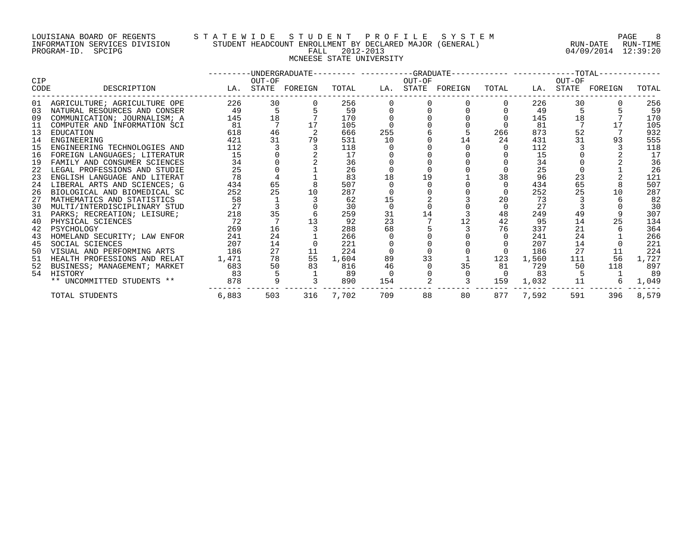## LOUISIANA BOARD OF REGENTS S T A T E W I D E S T U D E N T P R O F I L E S Y S T E M PAGE 8 INFORMATION SERVICES DIVISION STUDENT HEADCOUNT ENROLLMENT BY DECLARED MAJOR (GENERAL) RUN-DATE RUN-TIME PROGRAM-ID. SPCIPG FALL 2012-2013 04/09/2014 12:39:20 MCNEESE STATE UNIVERSITY

|                    |                                 |       |        |                   |       |     |        | --------DIMDERGRADUATE--------- ----------GRADUATE----------- -------------TOTAL------- |          |       |        |                   |       |
|--------------------|---------------------------------|-------|--------|-------------------|-------|-----|--------|-----------------------------------------------------------------------------------------|----------|-------|--------|-------------------|-------|
| <b>CIP</b><br>CODE | DESCRIPTION                     |       | OUT-OF | LA. STATE FOREIGN | TOTAL |     | OUT-OF | LA. STATE FOREIGN                                                                       | TOTAL    |       | OUT-OF | LA. STATE FOREIGN | TOTAL |
|                    |                                 |       |        |                   |       |     |        |                                                                                         |          |       |        |                   |       |
|                    | 01 AGRICULTURE; AGRICULTURE OPE | 226   | 30     |                   | 256   |     |        |                                                                                         |          | 226   | 30     |                   | 256   |
| 0.3                | NATURAL RESOURCES AND CONSER    | 49    | 5      |                   | 59    |     |        |                                                                                         |          | 49    |        |                   | 59    |
| 09                 | COMMUNICATION; JOURNALISM; A    | 145   | 18     |                   | 170   |     |        |                                                                                         |          | 145   | 18     |                   | 170   |
| 11                 | COMPUTER AND INFORMATION SCI    | 81    |        |                   | 105   |     |        |                                                                                         |          | 81    |        |                   | 105   |
| 13                 | EDUCATION                       | 618   | 46     |                   | 666   | 255 |        |                                                                                         | 266      | 873   | 52     |                   | 932   |
| 14                 | ENGINEERING                     | 421   | 31     | 79                | 531   | 10  |        | 14                                                                                      | 24       | 431   | 31     | 93                | 555   |
| 15                 | ENGINEERING TECHNOLOGIES AND    | 112   |        |                   | 118   |     |        |                                                                                         |          | 112   |        |                   | 118   |
| 16                 | FOREIGN LANGUAGES; LITERATUR    | 15    |        |                   | 17    |     |        |                                                                                         |          | 15    |        |                   | 17    |
| 19                 | FAMILY AND CONSUMER SCIENCES    | 34    |        |                   | 36    |     |        |                                                                                         |          | 34    |        |                   | 36    |
| 22                 | LEGAL PROFESSIONS AND STUDIE    | 25    |        |                   | 26    |     |        |                                                                                         |          | 25    |        |                   | 26    |
| 23                 | ENGLISH LANGUAGE AND LITERAT    | 78    |        |                   | 83    | 18  | 19     |                                                                                         | 38       | 96    | 23     |                   | 121   |
| 24                 | LIBERAL ARTS AND SCIENCES; G    | 434   | 65     |                   | 507   |     |        |                                                                                         |          | 434   | 65     |                   | 507   |
| 26                 | BIOLOGICAL AND BIOMEDICAL SC    | 252   | 25     | 10                | 287   |     |        |                                                                                         |          | 252   | 25     | 10                | 287   |
| 27                 | MATHEMATICS AND STATISTICS      | 58    |        |                   | 62    | 15  |        |                                                                                         | 20       | 73    |        |                   | 82    |
| 30                 | MULTI/INTERDISCIPLINARY STUD    | 27    |        |                   | 30    |     |        |                                                                                         |          | 27    |        |                   | 30    |
| 31                 | PARKS; RECREATION; LEISURE;     | 218   | 35     |                   | 259   | 31  | 14     |                                                                                         | 48       | 249   | 49     |                   | 307   |
| 40                 | PHYSICAL SCIENCES               | 72    |        |                   | 92    | 23  |        |                                                                                         | 42       | 95    | 14     |                   | 134   |
| 42                 | PSYCHOLOGY                      | 269   | 16     |                   | 288   | 68  |        |                                                                                         | 76       | 337   | 21     |                   | 364   |
| 43                 | HOMELAND SECURITY; LAW ENFOR    | 241   | 24     |                   | 266   |     |        |                                                                                         |          | 241   | 24     |                   | 266   |
| 45                 | SOCIAL SCIENCES                 | 207   | 14     |                   | 221   |     |        |                                                                                         |          | 207   | 14     |                   | 221   |
| 50                 | VISUAL AND PERFORMING ARTS      | 186   | 27     | 11                | 224   |     |        |                                                                                         |          | 186   | 27     | 11                | 224   |
| 51                 | HEALTH PROFESSIONS AND RELAT    | 1,471 | 78     | 55                | 1,604 | 89  | 33     |                                                                                         | 123      | 1,560 | 111    | 56                | 1,727 |
| 52                 | BUSINESS; MANAGEMENT; MARKET    | 683   | 50     | 83                | 816   | 46  |        | 35                                                                                      | 81       | 729   | 50     | 118               | 897   |
| 54                 | HISTORY                         | 83    |        |                   | 89    |     |        |                                                                                         | $\Omega$ | 83    |        |                   | 89    |
|                    | ** UNCOMMITTED STUDENTS **      | 878   |        |                   | 890   | 154 |        |                                                                                         | 159      | 1,032 | 11     |                   | 1,049 |
|                    | TOTAL STUDENTS                  | 6,883 | 503    | 316               | 7,702 | 709 | 88     | 80                                                                                      | 877      | 7,592 | 591    | 396               | 8,579 |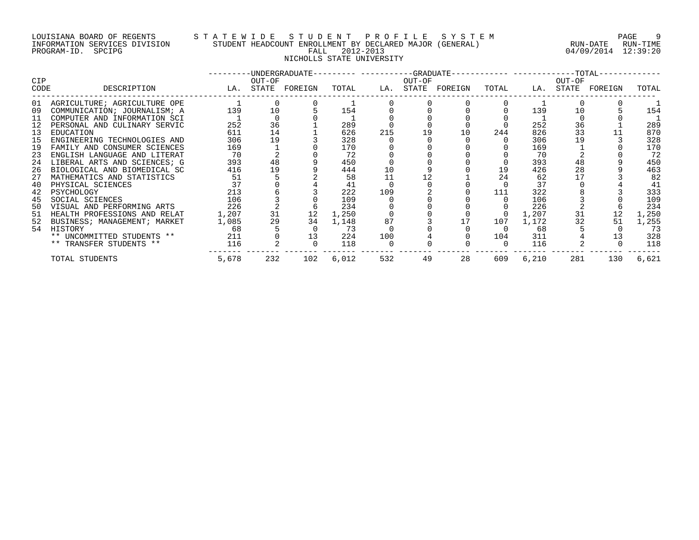## LOUISIANA BOARD OF REGENTS S T A T E W I D E S T U D E N T P R O F I L E S Y S T E M PAGE 9 INFORMATION SERVICES DIVISION STUDENT HEADCOUNT ENROLLMENT BY DECLARED MAJOR (GENERAL) RUN-DATE RUN-TIME PROGRAM-ID. SPCIPG FALL 2012-2013 04/09/2014 12:39:20 NICHOLLS STATE UNIVERSITY

|            |                              |       |          | ---------UNDERGRADUATE--------- ----------GRADUATE----------- -----------TOTAL- |       |     |        |                   |          |       |        |                   |       |
|------------|------------------------------|-------|----------|---------------------------------------------------------------------------------|-------|-----|--------|-------------------|----------|-------|--------|-------------------|-------|
| <b>CIP</b> |                              |       | OUT-OF   |                                                                                 |       |     | OUT-OF |                   |          |       | OUT-OF |                   |       |
| CODE       | DESCRIPTION                  |       |          | LA. STATE FOREIGN                                                               | TOTAL |     |        | LA. STATE FOREIGN | TOTAL    |       |        | LA. STATE FOREIGN | TOTAL |
| 01         | AGRICULTURE; AGRICULTURE OPE |       | $\Omega$ |                                                                                 |       |     |        |                   |          |       |        |                   |       |
| 09         | COMMUNICATION; JOURNALISM; A | 139   | 10       |                                                                                 | 154   |     |        |                   |          | 139   | 10     |                   | 154   |
| 11         | COMPUTER AND INFORMATION SCI |       |          |                                                                                 |       |     |        |                   |          |       |        |                   |       |
| 12         | PERSONAL AND CULINARY SERVIC | 252   | 36       |                                                                                 | 289   |     |        |                   |          | 252   | 36     |                   | 289   |
| 13         | EDUCATION                    | 611   | 14       |                                                                                 | 626   | 215 | 19     | 10                | 244      | 826   | 33     |                   | 870   |
| 15         | ENGINEERING TECHNOLOGIES AND | 306   | 19       |                                                                                 | 328   |     |        |                   |          | 306   | 19     |                   | 328   |
| 19         | FAMILY AND CONSUMER SCIENCES | 169   |          |                                                                                 | 170   |     |        |                   |          | 169   |        |                   | 170   |
| 23         | ENGLISH LANGUAGE AND LITERAT | 70    |          |                                                                                 | 72    |     |        |                   |          | 70    |        |                   | 72    |
| 24         | LIBERAL ARTS AND SCIENCES; G | 393   | 48       |                                                                                 | 450   |     |        |                   |          | 393   | 48     |                   | 450   |
| 26         | BIOLOGICAL AND BIOMEDICAL SC | 416   | 19       |                                                                                 | 444   | 10  |        |                   | 19       | 426   | 28     |                   | 463   |
| 27         | MATHEMATICS AND STATISTICS   | 51    |          |                                                                                 | 58    | 11  | 12     |                   | 24       | 62    | 17     |                   | 82    |
| 40         | PHYSICAL SCIENCES            | 37    |          |                                                                                 | 41    |     |        |                   |          | 37    |        |                   | 41    |
| 42         | PSYCHOLOGY                   | 213   |          |                                                                                 | 222   | 109 |        |                   | 111      | 322   |        |                   | 333   |
| 45         | SOCIAL SCIENCES              | 106   |          |                                                                                 | 109   |     |        |                   |          | 106   |        |                   | 109   |
| 50         | VISUAL AND PERFORMING ARTS   | 226   |          |                                                                                 | 234   |     |        |                   |          | 226   |        |                   | 234   |
| 51         | HEALTH PROFESSIONS AND RELAT | 1,207 | 31       | 12                                                                              | 1,250 |     |        |                   |          | 1,207 | 31     | 12                | 1,250 |
| 52         | BUSINESS; MANAGEMENT; MARKET | 1,085 | 29       | 34                                                                              | 1,148 | 87  |        |                   | 107      | 1,172 | 32     | 51                | 1,255 |
|            | 54 HISTORY                   | 68    |          |                                                                                 | - 73  |     |        |                   | 0        | 68    |        |                   | 73    |
|            | ** UNCOMMITTED STUDENTS **   | 211   |          | 13                                                                              | 224   | 100 |        |                   | 104      | 311   |        |                   | 328   |
|            | ** TRANSFER STUDENTS **      | 116   |          |                                                                                 | 118   |     |        |                   | $\Omega$ | 116   |        |                   | 118   |
|            | TOTAL STUDENTS               | 5,678 | 232      | 102                                                                             | 6,012 | 532 | 49     | 28                | 609      | 6,210 | 281    | 130               | 6,621 |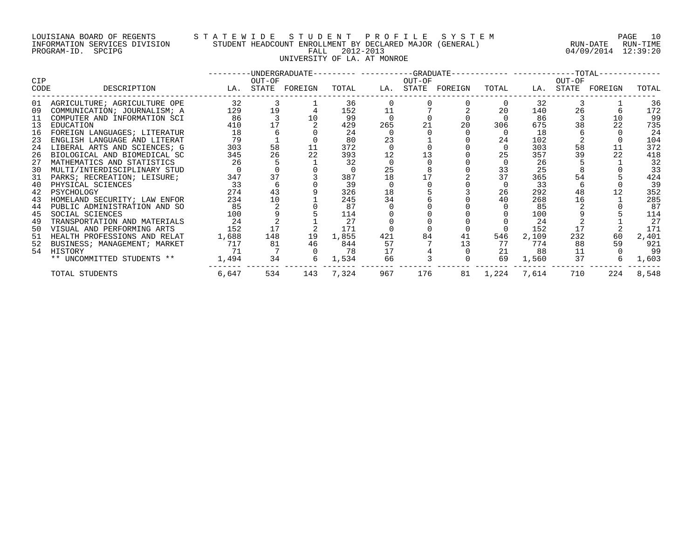## LOUISIANA BOARD OF REGENTS S T A T E W I D E S T U D E N T P R O F I L E S Y S T E M PAGE 10 INFORMATION SERVICES DIVISION STUDENT HEADCOUNT ENROLLMENT BY DECLARED MAJOR (GENERAL) RUN-DATE RUN-TIME PROGRAM-ID. SPCIPG FALL 2012-2013 04/09/2014 12:39:20 UNIVERSITY OF LA. AT MONROE

|             |                              |       |        | ---------UNDERGRADUATE--------- ---------GRADUATE----------- -----------TOTAL-- |           |     |        |                   |                |       |        |                   |       |
|-------------|------------------------------|-------|--------|---------------------------------------------------------------------------------|-----------|-----|--------|-------------------|----------------|-------|--------|-------------------|-------|
| CIP<br>CODE | DESCRIPTION                  |       | OUT-OF | LA. STATE FOREIGN                                                               | TOTAL     |     | OUT-OF | LA. STATE FOREIGN | TOTAL          |       | OUT-OF | LA. STATE FOREIGN | TOTAL |
| 01          | AGRICULTURE; AGRICULTURE OPE | 32    |        |                                                                                 | 36        |     |        |                   |                | 32    |        |                   | 36    |
| 09          | COMMUNICATION; JOURNALISM; A | 129   | 19     |                                                                                 | 152       | 11  |        |                   | 20             | 140   | 26     |                   | 172   |
| 11          | COMPUTER AND INFORMATION SCI | 86    |        | 10                                                                              | 99        |     |        |                   |                | 86    |        | 10                | 99    |
| 13          | EDUCATION                    | 410   | 17     |                                                                                 | 429       | 265 | 21     | 20                | 306            | 675   | 38     | 22                | 735   |
| 16          | FOREIGN LANGUAGES; LITERATUR | 18    | 6      |                                                                                 | 24        |     |        |                   | 0              | 18    |        |                   | 24    |
| 23          | ENGLISH LANGUAGE AND LITERAT | 79    |        |                                                                                 | 80        | 23  |        |                   | 24             | 102   |        |                   | 104   |
| 24          | LIBERAL ARTS AND SCIENCES; G | 303   | 58     | 11                                                                              | 372       |     |        |                   | $\Omega$       | 303   | 58     | 11                | 372   |
| 26          | BIOLOGICAL AND BIOMEDICAL SC | 345   | 26     | 22                                                                              | 393       | 12  |        |                   | 25             | 357   | 39     | 22                | 418   |
| 27          | MATHEMATICS AND STATISTICS   | 26    |        |                                                                                 | 32        |     |        |                   | $\Omega$       | 26    |        |                   | 32    |
| 30          | MULTI/INTERDISCIPLINARY STUD |       |        |                                                                                 | - 0       | 25  |        |                   | 33             | 25    |        |                   | 33    |
| 31          | PARKS; RECREATION; LEISURE;  | 347   | 37     |                                                                                 | 387       | 18  |        |                   | 37             | 365   | 54     |                   | 424   |
| 40          | PHYSICAL SCIENCES            | 33    | 6      |                                                                                 | 39        |     |        |                   | $\Omega$       | 33    |        |                   | 39    |
| 42          | PSYCHOLOGY                   | 274   | 43     |                                                                                 | 326       | 18  |        |                   | 26             | 292   | 48     |                   | 352   |
| 43          | HOMELAND SECURITY; LAW ENFOR | 234   | 10     |                                                                                 | 245       | 34  |        |                   | 40             | 268   | 16     |                   | 285   |
| 44          | PUBLIC ADMINISTRATION AND SO | 85    |        |                                                                                 | 87        |     |        |                   |                | 85    |        |                   | 87    |
| 45          | SOCIAL SCIENCES              | 100   |        |                                                                                 | 114       |     |        |                   |                | 100   |        |                   | 114   |
| 49          | TRANSPORTATION AND MATERIALS | 24    |        |                                                                                 | 27        |     |        |                   |                | 24    |        |                   | 27    |
| 50          | VISUAL AND PERFORMING ARTS   | 152   | 17     |                                                                                 | 171       |     |        |                   |                | 152   | 17     |                   | 171   |
| 51          | HEALTH PROFESSIONS AND RELAT | 1,688 | 148    | 19                                                                              | 1,855     | 421 | 84     | 41                | 546            | 2,109 | 232    | 60                | 2,401 |
| 52          | BUSINESS; MANAGEMENT; MARKET | 717   | 81     | 46                                                                              | 844       | 57  |        | 13                | 77             | 774   | 88     | 59                | 921   |
|             | 54 HISTORY                   | 71    |        |                                                                                 | 78        | 17  |        |                   | 21             | 88    | 11     |                   | 99    |
|             | ** UNCOMMITTED STUDENTS **   | 1,494 | 34     |                                                                                 | 1,534     | 66  |        |                   | 69             | 1,560 | 37     | 6                 | 1,603 |
|             | TOTAL STUDENTS               | 6,647 | 534    |                                                                                 | 143 7,324 | 967 | 176    |                   | 81 1,224 7,614 |       | 710    | 224               | 8,548 |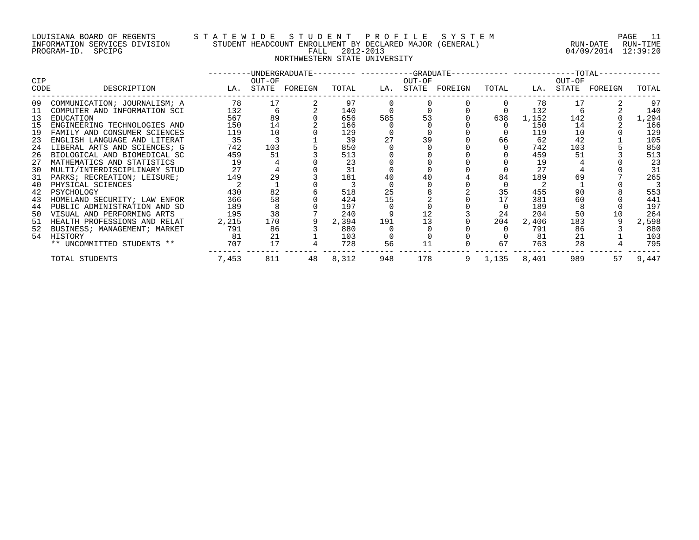## LOUISIANA BOARD OF REGENTS S T A T E W I D E S T U D E N T P R O F I L E S Y S T E M PAGE 11 INFORMATION SERVICES DIVISION STUDENT HEADCOUNT ENROLLMENT BY DECLARED MAJOR (GENERAL) RUN-DATE RUN-TIME PROGRAM-ID. SPCIPG FALL 2012-2013 04/09/2014 12:39:20 NORTHWESTERN STATE UNIVERSITY

|      |                              |       |        | ---------DINDERGRADUATE--------- ----------GRADUATE----------- ------------TOTAL-- |       |     |        |                   |         |       |        |                   |       |
|------|------------------------------|-------|--------|------------------------------------------------------------------------------------|-------|-----|--------|-------------------|---------|-------|--------|-------------------|-------|
| CIP  |                              |       | OUT-OF |                                                                                    |       |     | OUT-OF |                   |         |       | OUT-OF |                   |       |
| CODE | DESCRIPTION                  |       |        | LA. STATE FOREIGN                                                                  | TOTAL |     |        | LA. STATE FOREIGN | TOTAL   |       |        | LA. STATE FOREIGN | TOTAL |
| 09   | COMMUNICATION; JOURNALISM; A | 78    | 17     |                                                                                    | 97    |     |        |                   |         | 78    |        |                   | 97    |
| 11   | COMPUTER AND INFORMATION SCI | 132   | 6      |                                                                                    | 140   |     |        |                   |         | 132   |        |                   | 140   |
| 13   | EDUCATION                    | 567   | 89     |                                                                                    | 656   | 585 | 53     |                   | 638     | 1,152 | 142    |                   | 1,294 |
| 15   | ENGINEERING TECHNOLOGIES AND | 150   | 14     |                                                                                    | 166   |     |        |                   |         | 150   | 14     |                   | 166   |
| 19   | FAMILY AND CONSUMER SCIENCES | 119   | 10     |                                                                                    | 129   |     |        |                   |         | 119   | 10     |                   | 129   |
| 23   | ENGLISH LANGUAGE AND LITERAT | 35    |        |                                                                                    | 39    | 27  |        |                   | 66      | 62    | 42     |                   | 105   |
| 24   | LIBERAL ARTS AND SCIENCES; G | 742   | 103    |                                                                                    | 850   |     |        |                   |         | 742   | 103    |                   | 850   |
| 26   | BIOLOGICAL AND BIOMEDICAL SC | 459   | 51     |                                                                                    | 513   |     |        |                   |         | 459   | 51     |                   | 513   |
| 27   | MATHEMATICS AND STATISTICS   | 19    |        |                                                                                    | 23    |     |        |                   |         | 19    |        |                   | 23    |
| 30   | MULTI/INTERDISCIPLINARY STUD | 27    |        |                                                                                    | 31    |     |        |                   |         | 27    |        |                   | 31    |
| 31   | PARKS; RECREATION; LEISURE;  | 149   | 29     |                                                                                    | 181   | 40  |        |                   | 84      | 189   | 69     |                   | 265   |
| 40   | PHYSICAL SCIENCES            |       |        |                                                                                    |       |     |        |                   |         |       |        |                   |       |
| 42   | PSYCHOLOGY                   | 430   | 82     |                                                                                    | 518   | 25  |        |                   | 35      | 455   | 90     |                   | 553   |
| 43   | HOMELAND SECURITY; LAW ENFOR | 366   | 58     |                                                                                    | 424   | 15  |        |                   | 17      | 381   | 60     |                   | 441   |
| 44   | PUBLIC ADMINISTRATION AND SO | 189   |        |                                                                                    | 197   |     |        |                   |         | 189   |        |                   | 197   |
| 50   | VISUAL AND PERFORMING ARTS   | 195   | 38     |                                                                                    | 240   |     |        |                   | 24      | 204   | 50     | 10                | 264   |
| 51   | HEALTH PROFESSIONS AND RELAT | 2,215 | 170    |                                                                                    | 2,394 | 191 | 13     |                   | 204     | 2,406 | 183    |                   | 2,598 |
| 52   | BUSINESS; MANAGEMENT; MARKET | 791   | 86     |                                                                                    | 880   |     |        |                   |         | 791   | 86     |                   | 880   |
|      | 54 HISTORY                   | - 81  | 21     |                                                                                    | 103   |     |        |                   |         | 81    | 21     |                   | 103   |
|      | ** UNCOMMITTED STUDENTS **   | 707   | 17     |                                                                                    | 728   | 56  | 11     |                   | 67      | 763   | 28     |                   | 795   |
|      | TOTAL STUDENTS               | 7,453 | 811    | 48                                                                                 | 8,312 | 948 | 178    |                   | 9 1,135 | 8,401 | 989    | 57                | 9,447 |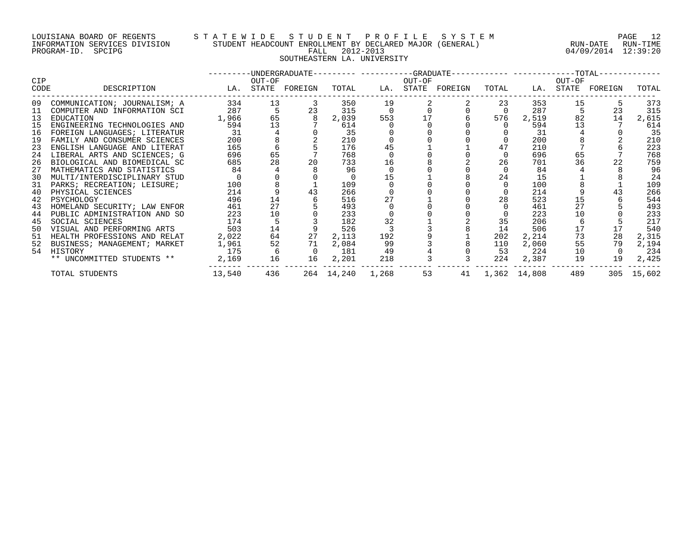## LOUISIANA BOARD OF REGENTS STATEWIDE STUDE STUDENT PROFILE SYSTEM PAGE 12<br>INFORMATION SERVICES DIVISION STUDENT HEADCOUNT ENROLLMENT BY DECLARED MAJOR (GENERAL) RUN-DATE RUN-TIME INFORMATION SERVICES DIVISION STUDENT HEADCOUNT ENROLLMENT BY DECLARED MAJOR (GENERAL)<br>PROGRAM-ID. SPCIPG ROUN-TIME RALL 2012-2013 SOUTHEASTERN LA. UNIVERSITY

04/09/2014 12:39:20

|             |                                     |                   |                 |                             |                |                |        | ---------UNDERGRADUATE--------- ----------GRADUATE------------ ------------TOTAL------------ |                |                     |        |                         |            |
|-------------|-------------------------------------|-------------------|-----------------|-----------------------------|----------------|----------------|--------|----------------------------------------------------------------------------------------------|----------------|---------------------|--------|-------------------------|------------|
| CIP<br>CODE | DESCRIPTION                         | LA. STATE FOREIGN | OUT-OF          |                             |                |                | OUT-OF | TOTAL LA. STATE FOREIGN                                                                      |                |                     | OUT-OF | TOTAL LA. STATE FOREIGN | TOTAL      |
| 09          | COMMUNICATION; JOURNALISM; A        | 334               | 13              | $\overline{\mathbf{3}}$     | 350            | 19             |        |                                                                                              | 23             | 353                 | 15     |                         | 373        |
| 11          | COMPUTER AND INFORMATION SCI        | 287               | $5\overline{)}$ | 23                          | 315            | $\overline{0}$ |        |                                                                                              | $\overline{0}$ | 287                 |        | 23                      | 315        |
|             | 13 EDUCATION                        | 1,966             |                 | 65 8                        | 2,039          | 553            |        | 17                                                                                           | 576            | 2,519               | 82     | 14                      | 2,615      |
| 15          | ENGINEERING TECHNOLOGIES AND        | 594               | 13              |                             | 614            |                |        |                                                                                              | $\Omega$       | 594                 | 13     |                         | 614        |
|             | 16 FOREIGN LANGUAGES; LITERATUR     | 31                |                 | $\frac{4}{8}$               | 35             |                |        |                                                                                              |                | 31                  |        |                         | 35         |
| 19          | FAMILY AND CONSUMER SCIENCES        | 200               |                 |                             | 210            |                |        |                                                                                              |                | 200                 |        |                         | 210        |
| 23          | ENGLISH LANGUAGE AND LITERAT        | 165               | 6               |                             | 176            | 45             |        |                                                                                              | 47             | 210                 |        |                         | 223        |
| 24          | LIBERAL ARTS AND SCIENCES; G        | 696               | 65              |                             | 768            |                |        |                                                                                              | 0              | 696                 | 65     |                         | 768        |
| 26          | BIOLOGICAL AND BIOMEDICAL SC        | 685               | 28              | 20                          | 733            | 16             |        |                                                                                              | 26             | 701                 | 36     | 22                      | 759        |
| 27          | MATHEMATICS AND STATISTICS          | 84                |                 |                             | 96             |                |        |                                                                                              | $\Omega$       | 84                  |        |                         | 96         |
| 30          | MULTI/INTERDISCIPLINARY STUD        |                   |                 |                             | $\overline{0}$ | 15             |        |                                                                                              | 24             | 15                  |        |                         | 24         |
|             | 31 PARKS; RECREATION; LEISURE;      | 100               |                 |                             | 109            |                |        |                                                                                              | $\mathbf 0$    | 100                 |        |                         | 109        |
| 40          | PHYSICAL SCIENCES                   | 214               |                 | 43                          | 266            |                |        |                                                                                              |                | 214                 |        | 43                      | 266        |
| 42          | PSYCHOLOGY                          | 496               | 14              |                             | 516            | 27             |        |                                                                                              | 28             | 523                 | 15     |                         | 544        |
| 43          | HOMELAND SECURITY; LAW ENFOR        | 461               | 27              |                             | 493            |                |        |                                                                                              |                | 461                 | 27     |                         | 493        |
| 44          | PUBLIC ADMINISTRATION AND SO        | 223               | 10              |                             | 233            |                |        |                                                                                              |                | 223                 | 10     |                         | 233        |
| 45          | SOCIAL SCIENCES                     | 174               | 5               |                             | 182            | 32             |        |                                                                                              | 35             | 206                 |        |                         | 217        |
|             | 50 VISUAL AND PERFORMING ARTS       | 503               | 14              |                             | 526            |                |        |                                                                                              | 14             | 506                 | 17     | 17                      | 540        |
| 51          | HEALTH PROFESSIONS AND RELAT        | 2,022             | 64              | 27                          | 2,113          | 192            |        |                                                                                              | 202            | 2,214               | 73     | 28                      | 2,315      |
| 52          | BUSINESS; MANAGEMENT; MARKET        | 1,961             | 52              | 71                          | 2,084          | 99             |        |                                                                                              | 110            | 2,060               | 55     | 79                      | 2,194      |
|             | 54 HISTORY                          |                   | 175 6           | $\overline{0}$              | 181            | 49             |        |                                                                                              | 53             | 224                 | 10     | $\overline{0}$          | 234        |
|             | ** UNCOMMITTED STUDENTS ** 2,169 16 |                   |                 | 16                          | 2,201          | 218            |        |                                                                                              |                | 3 224 2,387         | 19     | 19                      | 2,425      |
|             | TOTAL STUDENTS                      |                   |                 | 13,540 436 264 14,240 1,268 |                |                | 53     |                                                                                              |                | 41 1,362 14,808 489 |        |                         | 305 15,602 |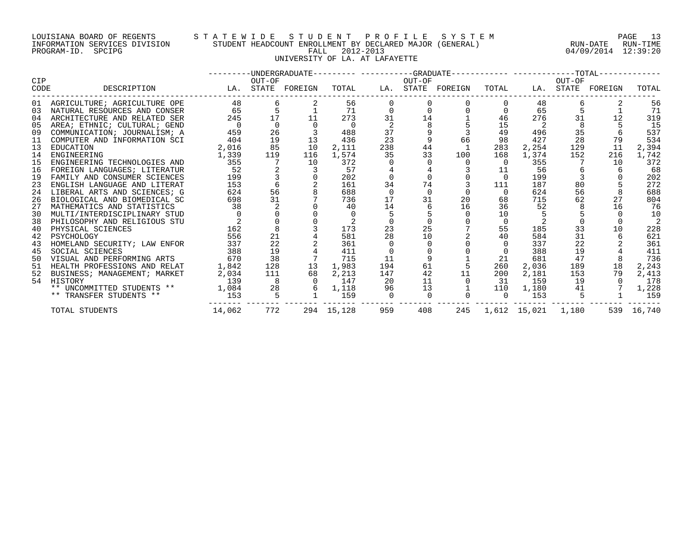## LOUISIANA BOARD OF REGENTS S T A T E W I D E S T U D E N T P R O F I L E S Y S T E M PAGE 13 INFORMATION SERVICES DIVISION STUDENT HEADCOUNT ENROLLMENT BY DECLARED MAJOR (GENERAL) RUN-DATE RUN-TIME PROGRAM-ID. SPCIPG FALL 2012-2013 04/09/2014 12:39:20 UNIVERSITY OF LA. AT LAFAYETTE

|      |                                 |          |         |                   |            |                |             | ---------UNDERGRADUATE--------- ----------GRADUATE----------- -----------TOTAL------------ |              |                        |        |                   |            |
|------|---------------------------------|----------|---------|-------------------|------------|----------------|-------------|--------------------------------------------------------------------------------------------|--------------|------------------------|--------|-------------------|------------|
| CIP  |                                 |          | OUT-OF  |                   |            |                | OUT-OF      |                                                                                            |              |                        | OUT-OF |                   |            |
| CODE | DESCRIPTION                     |          |         | LA. STATE FOREIGN | TOTAL      |                |             | LA. STATE FOREIGN                                                                          | TOTAL        |                        |        | LA. STATE FOREIGN | TOTAL      |
|      | 01 AGRICULTURE; AGRICULTURE OPE | 48       | 6       |                   | 56         |                |             |                                                                                            | $\Omega$     | 48                     |        |                   | 56         |
| 03   | NATURAL RESOURCES AND CONSER    | 65       | 5       |                   | 71         |                | $\mathbf 0$ |                                                                                            | 0            | 65                     |        |                   | 71         |
| 04   | ARCHITECTURE AND RELATED SER    | 245      | 17      | 11                | 273        | 31             | 14          |                                                                                            | 46           | 276                    | 31     | 12                | 319        |
| 05   | AREA; ETHNIC; CULTURAL; GEND    | $\Omega$ |         |                   |            |                |             |                                                                                            | 15           |                        |        |                   | 15         |
| 09   | COMMUNICATION; JOURNALISM; A    | 459      | 26      |                   | 488        | 37             |             |                                                                                            | 49           | 496                    | 35     |                   | 537        |
| 11   | COMPUTER AND INFORMATION SCI    | 404      | 19      | 13                | 436        | 23             |             | 66                                                                                         | 98           | 427                    | 28     | 79                | 534        |
| 13   | EDUCATION                       | 2,016    | 85      | 10                | 2,111      | 238            | 44          |                                                                                            | 283          | 2,254                  | 129    | 11                | 2,394      |
| 14   | ENGINEERING                     | 1,339    | 119     | 116               | 1,574      | 35             | 33          | 100                                                                                        | 168          | 1,374                  | 152    | 216               | 1,742      |
| 15   | ENGINEERING TECHNOLOGIES AND    | 355      |         | 10                | 372        |                |             | $\Omega$                                                                                   | $\Omega$     | 355                    |        | 10                | 372        |
| 16   | FOREIGN LANGUAGES; LITERATUR    | 52       |         |                   | 57         |                |             |                                                                                            | 11           | 56                     | 6      | 6                 | 68         |
| 19   | FAMILY AND CONSUMER SCIENCES    | 199      |         |                   | 202        |                |             |                                                                                            | $\Omega$     | 199                    |        |                   | 202        |
| 23   | ENGLISH LANGUAGE AND LITERAT    | 153      |         |                   | 161        | 34             | 74          |                                                                                            | 111          | 187                    | 80     |                   | 272        |
| 24   | LIBERAL ARTS AND SCIENCES; G    | 624      | 56      |                   | 688        | $\overline{0}$ |             |                                                                                            | $\Omega$     | 624                    | 56     |                   | 688        |
| 26   | BIOLOGICAL AND BIOMEDICAL SC    | 698      | 31      |                   | 736        | 17             | 31          | 20                                                                                         | 68           | 715                    | 62     | 27                | 804        |
| 27   | MATHEMATICS AND STATISTICS      | 38       | 2       |                   | 40         | 14             |             | 16                                                                                         | 36           | 52                     |        | 16                | 76         |
| 30   | MULTI/INTERDISCIPLINARY STUD    |          |         |                   |            |                |             |                                                                                            | 10           |                        |        |                   | 10         |
| 38   | PHILOSOPHY AND RELIGIOUS STU    |          |         |                   |            |                |             |                                                                                            | $\mathbf{0}$ |                        |        |                   |            |
| 40   | PHYSICAL SCIENCES               | 162      | $\,8\,$ |                   | 173        | 23             | 25          |                                                                                            | 55           | 185                    | 33     | 10                | 228        |
| 42   | PSYCHOLOGY                      | 556      | 21      |                   | 581        | 28             | 10          |                                                                                            | 40           | 584                    | 31     | 6                 | 621        |
| 43   | HOMELAND SECURITY; LAW ENFOR    | 337      | 22      |                   | 361        |                |             |                                                                                            |              | 337                    | 22     |                   | 361        |
| 45   | SOCIAL SCIENCES                 | 388      | 19      |                   | 411        |                |             |                                                                                            |              | 388                    | 19     |                   | 411        |
| 50   | VISUAL AND PERFORMING ARTS      | 670      | 38      |                   | 715        | 11             |             |                                                                                            | 21           | 681                    | 47     |                   | 736        |
| 51   | HEALTH PROFESSIONS AND RELAT    | 1,842    | 128     | 13                | 1,983      | 194            | 61          |                                                                                            | 260          | 2,036                  | 189    | 18                | 2,243      |
| 52   | BUSINESS; MANAGEMENT; MARKET    | 2,034    | 111     | 68                | 2,213      | 147            | 42          | 11                                                                                         | 200          | 2,181                  | 153    | 79                | 2,413      |
| 54   | HISTORY                         | 139      | 8       | $\Omega$          | 147        | 20             | 11          | $\overline{0}$                                                                             | 31           | 159                    | 19     | $\Omega$          | 178        |
|      | ** UNCOMMITTED STUDENTS **      | 1,084    | 28      | 6                 | 1,118      | 96             | 13          |                                                                                            | 110          | 1,180                  | 41     |                   | 1,228      |
|      | ** TRANSFER STUDENTS **         | 153      | 5       |                   | 159        | $\Omega$       | $\Omega$    |                                                                                            | $\Omega$     | 153                    |        |                   | 159        |
|      | TOTAL STUDENTS                  | 14,062   | 772     |                   | 294 15,128 | 959            | 408         |                                                                                            |              | 245 1,612 15,021 1,180 |        |                   | 539 16,740 |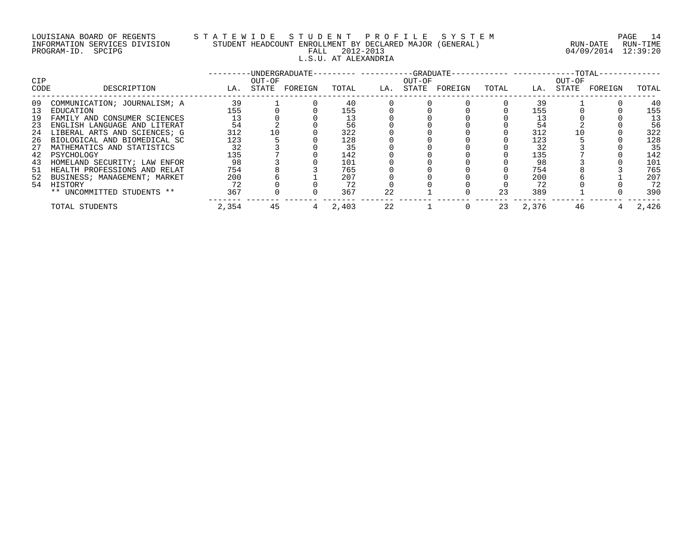## LOUISIANA BOARD OF REGENTS S T A T E W I D E S T U D E N T P R O F I L E S Y S T E M PAGE 14 INFORMATION SERVICES DIVISION STUDENT HEADCOUNT ENROLLMENT BY DECLARED MAJOR (GENERAL) RUN-DATE RUN-TIME PROGRAM-ID. SPCIPG FALL 2012-2013 04/09/2014 12:39:20 L.S.U. AT ALEXANDRIA

| <b>CIP</b> |                              |       | OUT-OF | -UNDERGRADUATE- | ------ ----------GRADUATE- |     | OUT-OF |         |       | ------ ----------- | $--TOTAL-$<br>OUT-OF |         |       |
|------------|------------------------------|-------|--------|-----------------|----------------------------|-----|--------|---------|-------|--------------------|----------------------|---------|-------|
| CODE       | DESCRIPTION                  | LA.   | STATE  | FOREIGN         | TOTAL                      | LA. | STATE  | FOREIGN | TOTAL | LA.                | STATE                | FOREIGN | TOTAL |
| 09         | COMMUNICATION; JOURNALISM; A | 39    |        |                 | 40                         |     |        |         |       | 39                 |                      |         | 40    |
| 13         | EDUCATION                    | 155   |        |                 | 155                        |     |        |         |       | 155                |                      |         | 155   |
| 19         | FAMILY AND CONSUMER SCIENCES | 13    |        |                 | 13                         |     |        |         |       |                    |                      |         | 13    |
| 23         | ENGLISH LANGUAGE AND LITERAT | 54    |        |                 | 56                         |     |        |         |       | 54                 |                      |         | 56    |
| 24         | LIBERAL ARTS AND SCIENCES; G | 312   | 10     |                 | 322                        |     |        |         |       | 312                |                      |         | 322   |
| 26         | BIOLOGICAL AND BIOMEDICAL SC | 123   |        |                 | 128                        |     |        |         |       | 123                |                      |         | 128   |
| 27         | MATHEMATICS AND STATISTICS   | 32    |        |                 | 35                         |     |        |         |       | 32                 |                      |         | 35    |
|            | 42 PSYCHOLOGY                | 135   |        |                 | 142                        |     |        |         |       | 135                |                      |         | 142   |
| 43         | HOMELAND SECURITY; LAW ENFOR | 98    |        |                 | 101                        |     |        |         |       | 98                 |                      |         | 101   |
| 51         | HEALTH PROFESSIONS AND RELAT | 754   |        |                 | 765                        |     |        |         |       | 754                |                      |         | 765   |
| 52         | BUSINESS; MANAGEMENT; MARKET | 200   |        |                 | 207                        |     |        |         |       | 200                |                      |         | 207   |
| 54         | HISTORY                      | 72    |        |                 | 72                         |     |        |         |       | 72                 |                      |         | 72    |
|            | ** UNCOMMITTED STUDENTS **   | 367   |        |                 | 367                        | 22  |        |         | 23    | 389                |                      |         | 390   |
|            | TOTAL STUDENTS               | 2,354 | 45     |                 | 2,403                      | 22  |        |         | 23    | 2,376              | 46                   |         | 2,426 |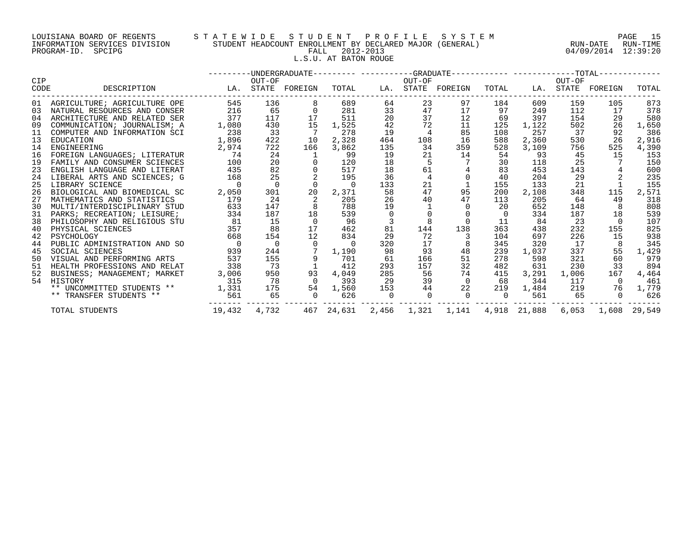## LOUISIANA BOARD OF REGENTS S T A T E W I D E S T U D E N T P R O F I L E S Y S T E M PAGE 15 INFORMATION SERVICES DIVISION STUDENT HEADCOUNT ENROLLMENT BY DECLARED MAJOR (GENERAL) RUN-DATE RUN-TIME PROGRAM-ID. SPCIPG FALL 2012-2013 04/09/2014 12:39:20 L.S.U. AT BATON ROUGE

|            |                                 |                |                |                   |                |           |                 | -UNDERGRADUATE--------- ----------GRADUATE----------- -----------TOTAL----------- |                |       |        |                   |       |
|------------|---------------------------------|----------------|----------------|-------------------|----------------|-----------|-----------------|-----------------------------------------------------------------------------------|----------------|-------|--------|-------------------|-------|
| <b>CIP</b> |                                 |                | OUT-OF         |                   |                |           | OUT-OF          |                                                                                   |                |       | OUT-OF |                   |       |
| CODE       | DESCRIPTION                     |                |                | LA. STATE FOREIGN | TOTAL          |           |                 | LA. STATE FOREIGN                                                                 | TOTAL          |       |        | LA. STATE FOREIGN | TOTAL |
|            | 01 AGRICULTURE; AGRICULTURE OPE | 545            | 136            | 8                 | 689            | 64        | 23              | 97                                                                                | 184            | 609   | 159    | 105               | 873   |
| 03         | NATURAL RESOURCES AND CONSER    | 216            | 65             | $\overline{0}$    | 281            | 33        | 47              | 17                                                                                | 97             | 249   | 112    | 17                | 378   |
| 04         | ARCHITECTURE AND RELATED SER    | 377            | 117            | 17                | 511            | 20        | 37              | 12                                                                                | 69             | 397   | 154    | 29                | 580   |
| 09         | COMMUNICATION; JOURNALISM; A    | 1,080          | 430            | 15                | 1,525          | 42        | 72              | 11                                                                                | 125            | 1,122 | 502    | 26                | 1,650 |
| 11         | COMPUTER AND INFORMATION SCI    | 238            | 33             |                   | 278            | 19        |                 | 85                                                                                | 108            | 257   | 37     | 92                | 386   |
| 13         | EDUCATION                       | 1,896          | 422            | 10                | 2,328          | 464       | 108             | 16                                                                                | 588            | 2,360 | 530    | 26                | 2,916 |
| 14         | ENGINEERING                     | 2,974          | 722            | 166               | 3,862          | 135       | 34              | 359                                                                               | 528            | 3,109 | 756    | 525               | 4,390 |
| 16         | FOREIGN LANGUAGES; LITERATUR    | 74             | 24             |                   | 99             | 19        | 21              | 14                                                                                | 54             | 93    | 45     | 15                | 153   |
| 19         | FAMILY AND CONSUMER SCIENCES    | 100            | 20             |                   | 120            | 18        |                 |                                                                                   | 30             | 118   | 25     |                   | 150   |
| 23         | ENGLISH LANGUAGE AND LITERAT    | 435            | 82             |                   | 517            | 18        | 61              |                                                                                   | 83             | 453   | 143    |                   | 600   |
| 24         | LIBERAL ARTS AND SCIENCES; G    | 168            | 25             |                   | 195            | 36        | $4\overline{ }$ | $\overline{0}$                                                                    | 40             | 204   | 29     |                   | 235   |
| 25         | LIBRARY SCIENCE                 | $\overline{0}$ | $\Omega$       | $\Omega$          | $\overline{0}$ | 133       | 21              |                                                                                   | 155            | 133   | 21     |                   | 155   |
| 26         | BIOLOGICAL AND BIOMEDICAL SC    | 2,050          | 301            | 20                | 2,371          | 58        | 47              | 95                                                                                | 200            | 2,108 | 348    | 115               | 2,571 |
| 27         | MATHEMATICS AND STATISTICS      | 179            | 24             | 2                 | 205            | 26        | 40              | 47                                                                                | 113            | 205   | 64     | 49                | 318   |
| 30         | MULTI/INTERDISCIPLINARY STUD    | 633            | 147            | 8                 | 788            | 19        |                 |                                                                                   | 20             | 652   | 148    | 8                 | 808   |
| 31         | PARKS; RECREATION; LEISURE;     | 334            | 187            | 18                | 539            | $\Omega$  |                 |                                                                                   | $\Omega$       | 334   | 187    | 18                | 539   |
| 38         | PHILOSOPHY AND RELIGIOUS STU    | 81             | 15             | $\Omega$          | 96             |           |                 |                                                                                   | 11             | 84    | 23     |                   | 107   |
| 40         | PHYSICAL SCIENCES               | 357            | 88             | 17                | 462            | 81        | 144             | 138                                                                               | 363            | 438   | 232    | 155               | 825   |
| 42         | PSYCHOLOGY                      | 668            | 154            | 12                | 834            | 29        | 72              |                                                                                   | 104            | 697   | 226    | 15                | 938   |
| 44         | PUBLIC ADMINISTRATION AND SO    | $\overline{0}$ | $\overline{0}$ | $\Omega$          | $\overline{0}$ | 320       | 17              |                                                                                   | 345            | 320   | 17     |                   | 345   |
| 45         | SOCIAL SCIENCES                 | 939            | 244            | $7\overline{ }$   | 1,190          | 98        | 93              | 48                                                                                | 239            | 1,037 | 337    | 55                | 1,429 |
| 50         | VISUAL AND PERFORMING ARTS      | 537            | 155            | 9                 | 701            | 61        | 166             | 51                                                                                | 278            | 598   | 321    | 60                | 979   |
| 51         | HEALTH PROFESSIONS AND RELAT    | 338            | 73             |                   | 412            | 293       | 157             | 32                                                                                | 482            | 631   | 230    | 33                | 894   |
| 52         | BUSINESS; MANAGEMENT; MARKET    | 3,006          | 950            | 93                | 4,049          | 285       | 56              | 74                                                                                | 415            | 3,291 | 1,006  | 167               | 4,464 |
| 54         | HISTORY                         | 315            | 78             | $\overline{0}$    | 393            | 29        | 39              | $\overline{0}$                                                                    | 68             | 344   | 117    | $\bigcap$         | 461   |
|            | ** UNCOMMITTED STUDENTS **      | 1,331          | 175            | 54                | 1,560          | 153       | 44              | 22                                                                                | 219            | 1,484 | 219    | 76                | 1,779 |
|            | ** TRANSFER STUDENTS **         | 561            | 65             | $\overline{0}$    | 626            | $\bigcap$ | $\overline{0}$  | $\bigcap$                                                                         | $\overline{0}$ | 561   | 65     | $\Omega$          | 626   |
|            | TOTAL STUDENTS                  | 19,432 4,732   |                |                   |                |           |                 | 467 24,631 2,456 1,321 1,141 4,918 21,888 6,053 1,608 29,549                      |                |       |        |                   |       |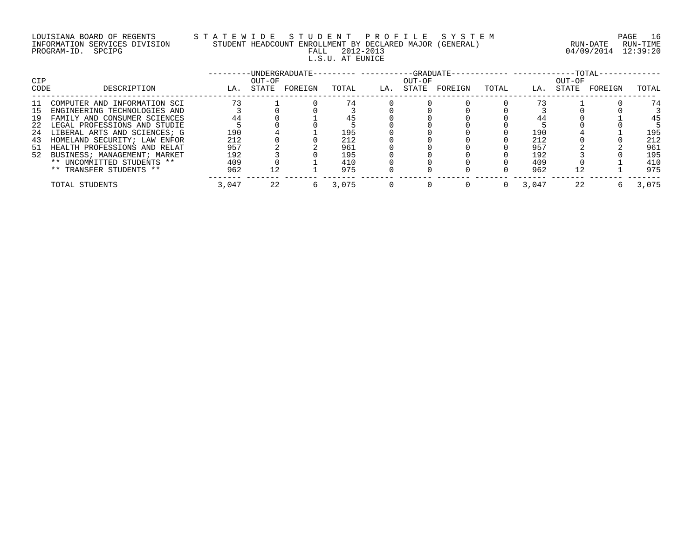## LOUISIANA BOARD OF REGENTS S T A T E W I D E S T U D E N T P R O F I L E S Y S T E M PAGE 16 INFORMATION SERVICES DIVISION STUDENT HEADCOUNT ENROLLMENT BY DECLARED MAJOR (GENERAL) RUN-DATE RUN-TIME PROGRAM-ID. SPCIPG FALL 2012-2013 04/09/2014 12:39:20 L.S.U. AT EUNICE

| <b>CIP</b> |                              |       | OUT-OF | -UNDERGRADUATE- |       |     | -GRADUATE-<br>OUT-OF |         |       |       | OUT-OF | $-TOTAL-$ |       |
|------------|------------------------------|-------|--------|-----------------|-------|-----|----------------------|---------|-------|-------|--------|-----------|-------|
| CODE       | DESCRIPTION                  | LA.   | STATE  | FOREIGN         | TOTAL | LA. | STATE                | FOREIGN | TOTAL | LA.   | STATE  | FOREIGN   | TOTAL |
|            | COMPUTER AND INFORMATION SCI | 73    |        |                 | 74    |     |                      |         |       |       |        |           | 74    |
| 15         | ENGINEERING TECHNOLOGIES AND |       |        |                 |       |     |                      |         |       |       |        |           |       |
| 19         | FAMILY AND CONSUMER SCIENCES | 44    |        |                 |       |     |                      |         |       | 44    |        |           | 45    |
| 22         | LEGAL PROFESSIONS AND STUDIE |       |        |                 |       |     |                      |         |       |       |        |           |       |
| 24         | LIBERAL ARTS AND SCIENCES; G | 190   |        |                 | 195   |     |                      |         |       | 190   |        |           | 195   |
| 43         | HOMELAND SECURITY; LAW ENFOR | 212   |        |                 | 212   |     |                      |         |       | 212   |        |           | 212   |
| 51         | HEALTH PROFESSIONS AND RELAT | 957   |        |                 | 961   |     |                      |         |       | 957   |        |           | 961   |
| 52         | BUSINESS; MANAGEMENT; MARKET | 192   |        |                 | 195   |     |                      |         |       | 192   |        |           | 195   |
|            | ** UNCOMMITTED STUDENTS **   | 409   |        |                 | 410   |     |                      |         |       | 409   |        |           | 410   |
|            | ** TRANSFER STUDENTS **      | 962   | 12     |                 | 975   |     |                      |         |       | 962   | 12     |           | 975   |
|            | TOTAL STUDENTS               | 3,047 | 22     | 6               | 3,075 |     |                      |         |       | 3,047 | 22     |           | 3,075 |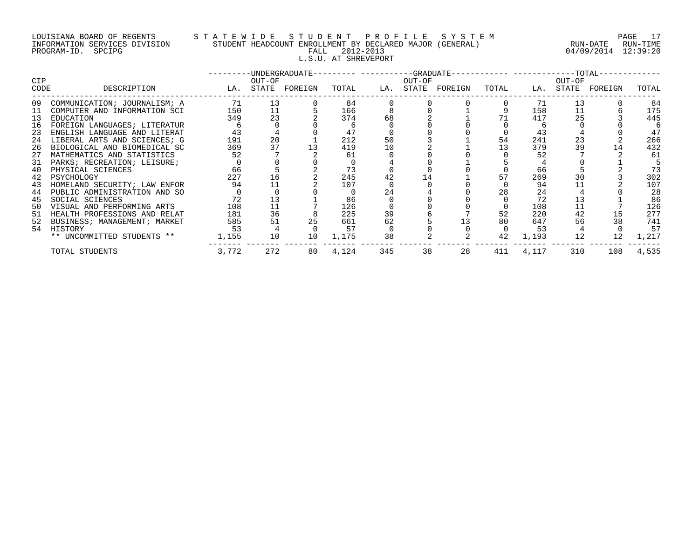## LOUISIANA BOARD OF REGENTS S T A T E W I D E S T U D E N T P R O F I L E S Y S T E M PAGE 17 INFORMATION SERVICES DIVISION STUDENT HEADCOUNT ENROLLMENT BY DECLARED MAJOR (GENERAL) RUN-DATE RUN-TIME PROGRAM-ID. SPCIPG FALL 2012-2013 04/09/2014 12:39:20 L.S.U. AT SHREVEPORT

|                                                                                  |                                                                                                                                                                                                                                                                                                                                                                                              |                                                                     |                                        |          |                                                                      |                            |        | -UNDERGRADUATE--------- ----------GRADUATE----------- -----------TOTAL- |                      |                                                                           |                                  |                   |                                                                            |
|----------------------------------------------------------------------------------|----------------------------------------------------------------------------------------------------------------------------------------------------------------------------------------------------------------------------------------------------------------------------------------------------------------------------------------------------------------------------------------------|---------------------------------------------------------------------|----------------------------------------|----------|----------------------------------------------------------------------|----------------------------|--------|-------------------------------------------------------------------------|----------------------|---------------------------------------------------------------------------|----------------------------------|-------------------|----------------------------------------------------------------------------|
| <b>CIP</b><br>CODE                                                               | DESCRIPTION                                                                                                                                                                                                                                                                                                                                                                                  | LA. STATE FOREIGN                                                   | OUT-OF                                 |          | TOTAL                                                                |                            | OUT-OF | LA. STATE FOREIGN                                                       | TOTAL                |                                                                           | OUT-OF                           | LA. STATE FOREIGN | TOTAL                                                                      |
| 09<br>11<br>13<br>16<br>23<br>24<br>26<br>27<br>31<br>40<br>42<br>43<br>44<br>45 | COMMUNICATION; JOURNALISM; A<br>COMPUTER AND INFORMATION SCI<br>EDUCATION<br>FOREIGN LANGUAGES; LITERATUR<br>ENGLISH LANGUAGE AND LITERAT<br>LIBERAL ARTS AND SCIENCES; G<br>BIOLOGICAL AND BIOMEDICAL SC<br>MATHEMATICS AND STATISTICS<br>PARKS; RECREATION; LEISURE;<br>PHYSICAL SCIENCES<br>PSYCHOLOGY<br>HOMELAND SECURITY; LAW ENFOR<br>PUBLIC ADMINISTRATION AND SO<br>SOCIAL SCIENCES | 71<br>150<br>349<br>43<br>191<br>369<br>52<br>66<br>227<br>94<br>72 | 13<br>11<br>23<br>20<br>37<br>16<br>11 |          | 84<br>166<br>374<br>47<br>212<br>419<br>61<br>73<br>245<br>107<br>86 | 68<br>50<br>10<br>42<br>24 |        |                                                                         | 54<br>13<br>57<br>28 | 71<br>158<br>417<br>43<br>241<br>379<br>52<br>66<br>269<br>94<br>24<br>72 | 13<br>11<br>25<br>23<br>39<br>30 | 14                | 84<br>175<br>445<br>47<br>266<br>432<br>61<br>73<br>302<br>107<br>28<br>86 |
| 50<br>51<br>52<br>54                                                             | VISUAL AND PERFORMING ARTS<br>HEALTH PROFESSIONS AND RELAT<br>BUSINESS; MANAGEMENT; MARKET<br>HISTORY<br>** UNCOMMITTED STUDENTS **                                                                                                                                                                                                                                                          | 108<br>181<br>585<br>53<br>1,155                                    | 11<br>36<br>51<br>10                   | 25<br>10 | 126<br>225<br>661<br>57<br>1,175                                     | 39<br>62<br>38             |        |                                                                         | 52<br>80<br>42       | 108<br>220<br>647<br>53<br>1,193                                          | 11<br>42<br>56<br>12             | 38<br>12          | 126<br>277<br>741<br>57<br>1,217                                           |
|                                                                                  | TOTAL STUDENTS                                                                                                                                                                                                                                                                                                                                                                               | 3,772                                                               | 272                                    | 80       | 4,124                                                                | 345                        | 38     | 28                                                                      | 411                  | 4,117                                                                     | 310                              | 108               | 4,535                                                                      |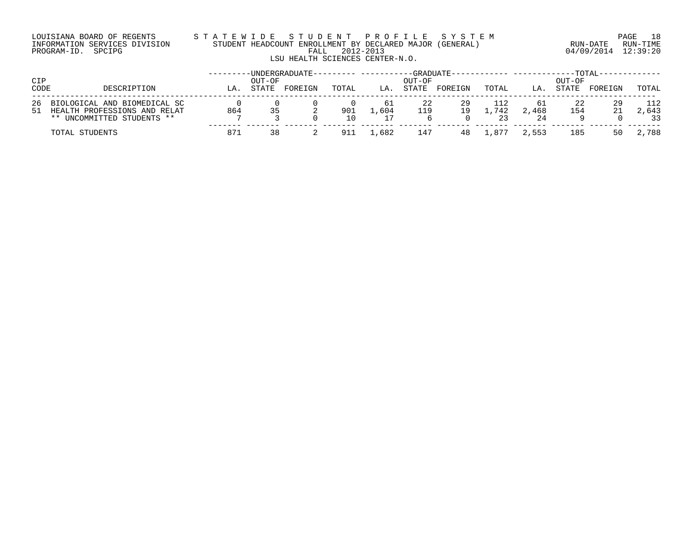## LOUISIANA BOARD OF REGENTS S T A T E W I D E S T U D E N T P R O F I L E S Y S T E M PAGE 18 INFORMATION SERVICES DIVISION STUDENT HEADCOUNT ENROLLMENT BY DECLARED MAJOR (GENERAL) RUN-DATE RUN-TIME PROGRAM-ID. SPCIPG FALL 2012-2013 04/09/2014 12:39:20 LSU HEALTH SCIENCES CENTER-N.O.

| <b>CIP</b><br>CODE | DESCRIPTION                                                                                | LA  | OUT-OF<br><b>STATE</b> | -UNDERGRADUATE-<br>FOREIGN | TOTAL     | LA.        | -GRADUATE-<br>OUT-OF<br>STATE | FOREIGN  | TOTAL      | LA.               | OUT-OF<br>STATE | $-{\tt TOTAL}$<br>FOREIGN | TOTAL              |
|--------------------|--------------------------------------------------------------------------------------------|-----|------------------------|----------------------------|-----------|------------|-------------------------------|----------|------------|-------------------|-----------------|---------------------------|--------------------|
| 26<br>51           | BIOLOGICAL AND BIOMEDICAL SC<br>HEALTH PROFESSIONS AND RELAT<br>** UNCOMMITTED STUDENTS ** | 864 |                        |                            | 901<br>10 | 61<br>.604 | 119                           | 29<br>19 | .742<br>23 | 61<br>2,468<br>24 | 154             | 29<br>21                  | 112<br>2,643<br>33 |
|                    | TOTAL STUDENTS                                                                             | 871 | 38                     |                            | 911       | .682       | 147                           | 48       | .877       | 2,553             | 185             | 50                        | 2,788              |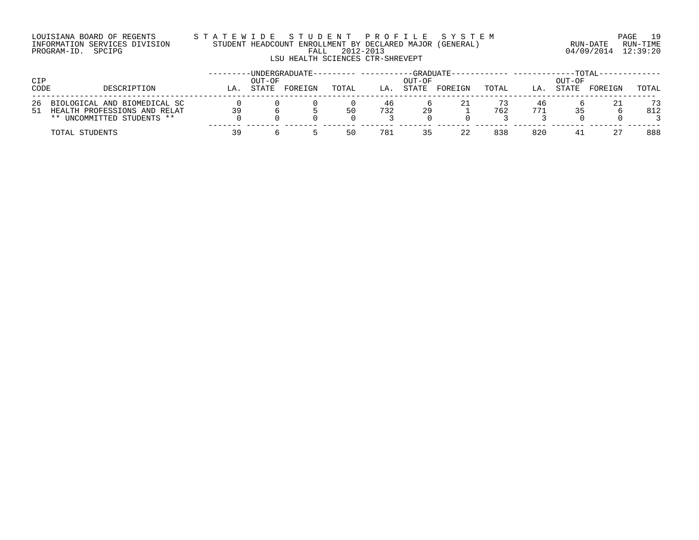## LOUISIANA BOARD OF REGENTS S T A T E W I D E S T U D E N T P R O F I L E S Y S T E M PAGE 19 INFORMATION SERVICES DIVISION STUDENT HEADCOUNT ENROLLMENT BY DECLARED MAJOR (GENERAL) RUN-DATE RUN-TIME PROGRAM-ID. SPCIPG FALL 2012-2013 04/09/2014 12:39:20 LSU HEALTH SCIENCES CTR-SHREVEPT

| CIP  |                                                                                               |     | OUT-OF | -UNDERGRADUATE- |                     |           | -GRADUATE-<br>OUT-OF |         |       |           | OUT-OF | -TOTAL  |           |
|------|-----------------------------------------------------------------------------------------------|-----|--------|-----------------|---------------------|-----------|----------------------|---------|-------|-----------|--------|---------|-----------|
| CODE | DESCRIPTION                                                                                   | LA. | STATE  | FOREIGN         | TOTAL               | LA.       | STATE                | FOREIGN | TOTAL | LA.       | STATE  | FOREIGN | TOTAL     |
| 26   | BIOLOGICAL AND BIOMEDICAL SC<br>51 HEALTH PROFESSIONS AND RELAT<br>** UNCOMMITTED STUDENTS ** | 39  |        |                 | $\Omega$<br>50<br>0 | 46<br>732 | 29                   |         | 762   | 46<br>771 |        | 21      | 73<br>812 |
|      | TOTAL STUDENTS                                                                                | 39  |        |                 | 50                  | 781       | 35                   | 22      | 838   | 820       | 41     | 27      | 888       |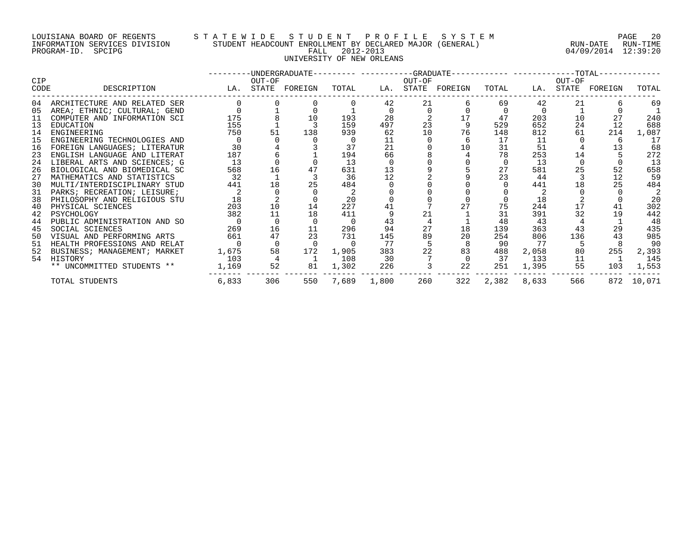## LOUISIANA BOARD OF REGENTS S T A T E W I D E S T U D E N T P R O F I L E S Y S T E M PAGE 20 INFORMATION SERVICES DIVISION STUDENT HEADCOUNT ENROLLMENT BY DECLARED MAJOR (GENERAL) RUN-DATE RUN-TIME PROGRAM-ID. SPCIPG FALL 2012-2013 04/09/2014 12:39:20 UNIVERSITY OF NEW ORLEANS

| <b>CIP</b> |                              |       | OUT-OF   | ---------DINDERGRADUATE--------- ----------GRADUATE----------- ------------TOTAL-- |       |       | OUT-OF |               |          |       | OUT-OF |                   |        |
|------------|------------------------------|-------|----------|------------------------------------------------------------------------------------|-------|-------|--------|---------------|----------|-------|--------|-------------------|--------|
| CODE       | DESCRIPTION                  |       |          | LA. STATE FOREIGN                                                                  | TOTAL | LA.   |        | STATE FOREIGN | TOTAL    |       |        | LA. STATE FOREIGN | TOTAL  |
| 04         | ARCHITECTURE AND RELATED SER |       |          |                                                                                    |       | 42    | 21     |               | 69       | 42    | 21     |                   | 69     |
| 05         | AREA; ETHNIC; CULTURAL; GEND |       |          |                                                                                    |       |       |        |               |          |       |        |                   |        |
| 11         | COMPUTER AND INFORMATION SCI | 175   |          | 10                                                                                 | 193   | 28    |        | 17            | 47       | 203   | 10     | 27                | 240    |
| 13         | EDUCATION                    | 155   |          |                                                                                    | 159   | 497   | 23     |               | 529      | 652   | 24     | 12                | 688    |
| 14         | ENGINEERING                  | 750   | 51       | 138                                                                                | 939   | 62    | 10     | 76            | 148      | 812   | 61     | 214               | 1,087  |
| 15         | ENGINEERING TECHNOLOGIES AND |       |          |                                                                                    |       | 11    |        |               | 17       | 11    |        |                   | 17     |
| 16         | FOREIGN LANGUAGES; LITERATUR | 30    |          |                                                                                    | 37    | 21    |        | 10            | 31       | 51    |        | 13                | 68     |
| 23         | ENGLISH LANGUAGE AND LITERAT | 187   |          |                                                                                    | 194   | 66    |        |               | 78       | 253   | 14     |                   | 272    |
| 24         | LIBERAL ARTS AND SCIENCES; G | 13    |          |                                                                                    | 13    |       |        |               | $\Omega$ | 13    |        |                   | 13     |
| 26         | BIOLOGICAL AND BIOMEDICAL SC | 568   | 16       |                                                                                    | 631   | 13    |        |               | 27       | 581   | 25     | 52                | 658    |
| 27         | MATHEMATICS AND STATISTICS   | 32    |          |                                                                                    | 36    | 12    |        |               | 23       | 44    |        | 12                | 59     |
| 30         | MULTI/INTERDISCIPLINARY STUD | 441   | 18       | 25                                                                                 | 484   |       |        |               |          | 441   |        | 25                | 484    |
| 31         | PARKS; RECREATION; LEISURE;  |       |          |                                                                                    |       |       |        |               |          |       |        |                   |        |
| 38         | PHILOSOPHY AND RELIGIOUS STU | 18    |          |                                                                                    | 20    |       |        |               |          | 18    |        |                   | 20     |
| 40         | PHYSICAL SCIENCES            | 203   | 10       | 14                                                                                 | 227   | 41    |        |               | 75       | 244   |        | 41                | 302    |
| 42         | PSYCHOLOGY                   | 382   | 11       | 18                                                                                 | 411   |       | 21     |               | 31       | 391   | 32     | 19                | 442    |
| 44         | PUBLIC ADMINISTRATION AND SO |       |          |                                                                                    |       | 43    |        |               | 48       | 43    |        |                   | 48     |
| 45         | SOCIAL SCIENCES              | 269   | 16       | 11                                                                                 | 296   | 94    | 27     | 18            | 139      | 363   | 43     | 29                | 435    |
| 50         | VISUAL AND PERFORMING ARTS   | 661   | 47       | 23                                                                                 | 731   | 145   | 89     | 20            | 254      | 806   | 136    | 43                | 985    |
| 51         | HEALTH PROFESSIONS AND RELAT |       | $\Omega$ |                                                                                    |       | 77    |        |               | 90       | 77    |        |                   | 90     |
| 52         | BUSINESS; MANAGEMENT; MARKET | 1,675 | 58       | 172                                                                                | 1,905 | 383   | 22     | 83            | 488      | 2,058 | 80     | 255               | 2,393  |
| 54         | HISTORY                      | 103   |          |                                                                                    | 108   | 30    |        |               | 37       | 133   | 11     |                   | 145    |
|            | ** UNCOMMITTED STUDENTS **   | 1,169 | 52       | 81                                                                                 | 1,302 | 226   |        | 22            | 251      | 1,395 | 55     | 103               | 1,553  |
|            | TOTAL STUDENTS               | 6,833 | 306      | 550                                                                                | 7,689 | 1,800 | 260    | 322           | 2,382    | 8,633 | 566    | 872               | 10,071 |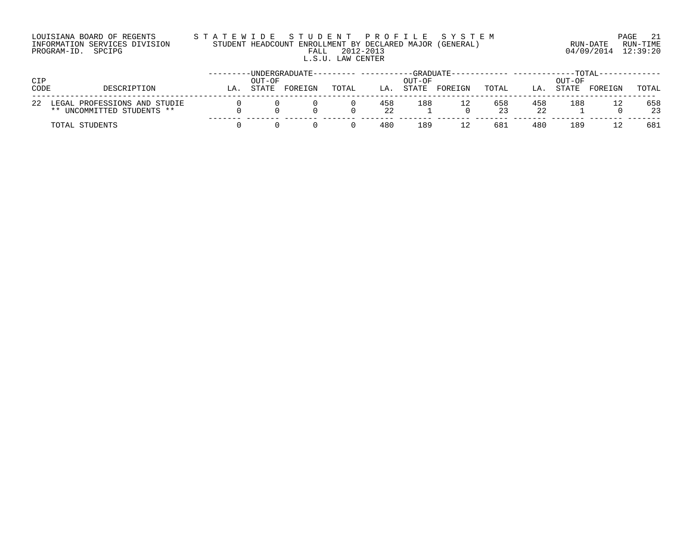## LOUISIANA BOARD OF REGENTS S T A T E W I D E S T U D E N T P R O F I L E S Y S T E M PAGE 21 INFORMATION SERVICES DIVISION STUDENT HEADCOUNT ENROLLMENT BY DECLARED MAJOR (GENERAL) RUN-DATE RUN-TIME PROGRAM-ID. SPCIPG FALL 2012-2013 04/09/2014 12:39:20 L.S.U. LAW CENTER

| CIP<br>CODE |                                                                  |    | OUT-OF | -UNDERGRADUATE- |       |           | -GRADUATE-<br>OUT-OF |         |           |           | OUT-OF | <b>TOTAL</b> |           |
|-------------|------------------------------------------------------------------|----|--------|-----------------|-------|-----------|----------------------|---------|-----------|-----------|--------|--------------|-----------|
|             | DESCRIPTION                                                      | LΑ | STATE  | FOREIGN         | TOTAL | LA.       | <b>STATE</b>         | FOREIGN | TOTAL     | LA        | STATE  | FOREIGN      | TOTAL     |
| 22          | LEGAL PROFESSIONS AND STUDIE<br>UNCOMMITTED STUDENTS **<br>$***$ |    |        |                 |       | 458<br>22 | 188                  | 12      | 658<br>23 | 458<br>22 | 188    |              | 658<br>23 |
|             | TOTAL STUDENTS                                                   |    |        |                 |       | 480       | 189                  | 12      | 681       | 480       | 189    |              | 681       |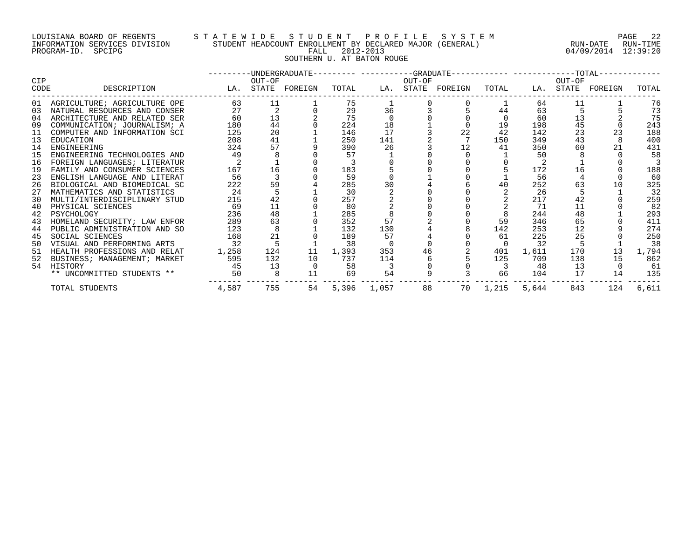## LOUISIANA BOARD OF REGENTS S T A T E W I D E S T U D E N T P R O F I L E S Y S T E M PAGE 22 INFORMATION SERVICES DIVISION STUDENT HEADCOUNT ENROLLMENT BY DECLARED MAJOR (GENERAL) RUN-DATE RUN-TIME PROGRAM-ID. SPCIPG FALL 2012-2013 04/09/2014 12:39:20 SOUTHERN U. AT BATON ROUGE

|             |                                                                 |                   |        | ---------UNDERGRADUATE--------- ----------GRADUATE----------- -----------TOTAL------ |          |             |        |                   |          |          |        |                   |            |
|-------------|-----------------------------------------------------------------|-------------------|--------|--------------------------------------------------------------------------------------|----------|-------------|--------|-------------------|----------|----------|--------|-------------------|------------|
| CIP<br>CODE | DESCRIPTION                                                     | LA. STATE FOREIGN | OUT-OF |                                                                                      | TOTAL    |             | OUT-OF | LA. STATE FOREIGN | TOTAL    |          | OUT-OF | LA. STATE FOREIGN | TOTAL      |
|             |                                                                 |                   |        |                                                                                      |          |             |        |                   |          |          |        |                   |            |
| 03          | 01 AGRICULTURE; AGRICULTURE OPE<br>NATURAL RESOURCES AND CONSER | 63<br>27          | 11     |                                                                                      | 75<br>29 | 36          |        |                   | 44       | 64<br>63 | 11     |                   | 76<br>73   |
| 04          | ARCHITECTURE AND RELATED SER                                    | 60                | 13     |                                                                                      | 75       |             |        |                   |          | 60       | 13     |                   | 75         |
| 09          | COMMUNICATION; JOURNALISM; A                                    | 180               | 44     |                                                                                      | 224      | 18          |        |                   | 19       | 198      | 45     |                   | 243        |
|             |                                                                 |                   | 20     |                                                                                      | 146      | 17          |        | 22                | 42       | 142      | 23     |                   |            |
| 11<br>13    | COMPUTER AND INFORMATION SCI                                    | 125<br>208        | 41     |                                                                                      | 250      |             |        |                   | 150      | 349      | 43     |                   | 188<br>400 |
| 14          | EDUCATION<br>ENGINEERING                                        | 324               | 57     |                                                                                      | 390      | 141<br>26   |        |                   | 41       | 350      | 60     |                   | 431        |
| 15          | ENGINEERING TECHNOLOGIES AND                                    | 49                |        |                                                                                      | 57       |             |        |                   |          | 50       |        |                   | 58         |
| 16          | FOREIGN LANGUAGES; LITERATUR                                    |                   |        |                                                                                      |          |             |        |                   |          |          |        |                   |            |
| 19          | FAMILY AND CONSUMER SCIENCES                                    | 167               | 16     |                                                                                      | 183      |             |        |                   |          | 172      | 16     |                   | 188        |
| 23          | ENGLISH LANGUAGE AND LITERAT                                    | 56                |        |                                                                                      | 59       |             |        |                   |          | 56       |        |                   | 60         |
| 26          | BIOLOGICAL AND BIOMEDICAL SC                                    | 222               | 59     |                                                                                      | 285      | 30          |        |                   | 40       | 252      | 63     | 10                | 325        |
| 27          | MATHEMATICS AND STATISTICS                                      | 24                |        |                                                                                      | 30       |             |        |                   |          | 26       |        |                   | 32         |
| 30          | MULTI/INTERDISCIPLINARY STUD                                    | 215               | 42     |                                                                                      | 257      |             |        |                   |          | 217      | 42     |                   | 259        |
| 40          | PHYSICAL SCIENCES                                               | 69                | 11     |                                                                                      | 80       |             |        |                   |          | 71       | 11     |                   | 82         |
| 42          | PSYCHOLOGY                                                      | 236               | 48     |                                                                                      | 285      |             |        |                   |          | 244      | 48     |                   | 293        |
| 43          | HOMELAND SECURITY; LAW ENFOR                                    | 289               | 63     |                                                                                      | 352      | 57          |        |                   | 59       | 346      | 65     |                   | 411        |
| 44          | PUBLIC ADMINISTRATION AND SO                                    | 123               |        |                                                                                      | 132      | 130         |        |                   | 142      | 253      | 12     |                   | 274        |
| 45          | SOCIAL SCIENCES                                                 | 168               | 21     |                                                                                      | 189      | 57          |        |                   | 61       | 225      | 25     |                   | 250        |
| 50          | VISUAL AND PERFORMING ARTS                                      | 32                |        |                                                                                      | 38       |             |        |                   |          | 32       |        |                   | 38         |
| 51          | HEALTH PROFESSIONS AND RELAT                                    | 1,258             | 124    | 11                                                                                   | 1,393    | 353         | 46     |                   | 401      | 1,611    | 170    | 13                | 1,794      |
| 52          | BUSINESS; MANAGEMENT; MARKET                                    | 595               | 132    | 10                                                                                   | 737      | 114         |        |                   | 125      | 709      | 138    | 15                | 862        |
| 54          | HISTORY                                                         | 45                | 13     |                                                                                      | 58       |             |        |                   |          | 48       | 13     |                   | 61         |
|             | ** UNCOMMITTED STUDENTS **                                      | 50                |        | 11                                                                                   | 69       | 54          |        |                   | 66       | 104      | 17     | 14                | 135        |
|             | TOTAL STUDENTS                                                  | 4,587             | 755    | 54                                                                                   |          | 5,396 1,057 | 88     |                   | 70 1,215 | 5,644    | 843    | 124               | 6,611      |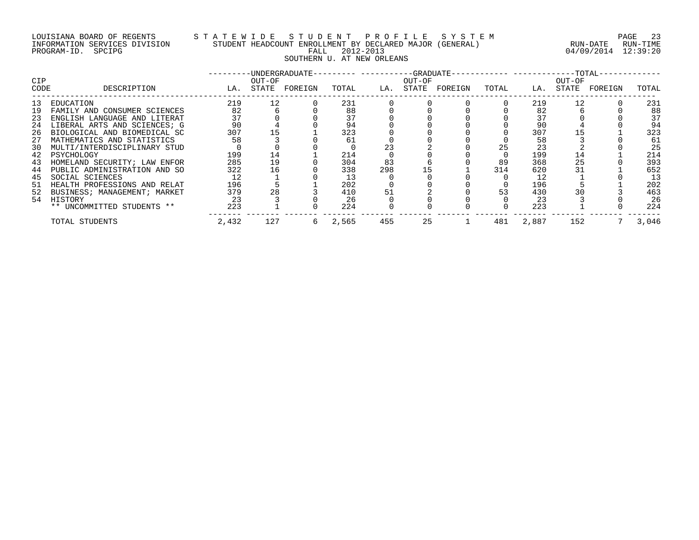## LOUISIANA BOARD OF REGENTS S T A T E W I D E S T U D E N T P R O F I L E S Y S T E M PAGE 23 INFORMATION SERVICES DIVISION STUDENT HEADCOUNT ENROLLMENT BY DECLARED MAJOR (GENERAL) RUN-DATE RUN-TIME PROGRAM-ID. SPCIPG FALL 2012-2013 04/09/2014 12:39:20 SAT ENROLLMENT 2012-2013<br>FALL 2012-2013<br>SOUTHERN U. AT NEW ORLEANS

| CIP<br>CODE | DESCRIPTION                  | LA.   | OUT-OF<br>STATE | -UNDERGRADUATE-<br>FOREIGN | TOTAL | LA. | OUT-OF<br>STATE | FOREIGN | TOTAL | LA.   | OUT-OF<br>STATE | FOREIGN | TOTAL |
|-------------|------------------------------|-------|-----------------|----------------------------|-------|-----|-----------------|---------|-------|-------|-----------------|---------|-------|
| 13          | EDUCATION                    | 219   | 12              |                            | 231   |     |                 |         |       | 219   | 12              |         | 231   |
| 19          | FAMILY AND CONSUMER SCIENCES | 82    |                 |                            | 88    |     |                 |         |       | 82    |                 |         | 88    |
| 23          | ENGLISH LANGUAGE AND LITERAT |       |                 |                            | 37    |     |                 |         |       | 37    |                 |         | 37    |
| 24          | LIBERAL ARTS AND SCIENCES; G | 90    |                 |                            | 94    |     |                 |         |       | 90    |                 |         | 94    |
| 26          | BIOLOGICAL AND BIOMEDICAL SC | 307   |                 |                            | 323   |     |                 |         |       | 307   |                 |         | 323   |
| 27          | MATHEMATICS AND STATISTICS   | 58    |                 |                            | 61    |     |                 |         |       | 58    |                 |         | 61    |
| 30          | MULTI/INTERDISCIPLINARY STUD |       |                 |                            |       | 23  |                 |         | 25    | 23    |                 |         | 25    |
| 42          | PSYCHOLOGY                   | 199   | 14              |                            | 214   |     |                 |         |       | 199   | 14              |         | 214   |
| 43          | HOMELAND SECURITY; LAW ENFOR | 285   | 19              |                            | 304   | 83  |                 |         | 89    | 368   | 25              |         | 393   |
| 44          | PUBLIC ADMINISTRATION AND SO | 322   | 16              |                            | 338   | 298 |                 |         | 314   | 620   | 31              |         | 652   |
| 45          | SOCIAL SCIENCES              |       |                 |                            | 13    |     |                 |         |       | 12    |                 |         | 13    |
| 51          | HEALTH PROFESSIONS AND RELAT | 196   |                 |                            | 202   |     |                 |         |       | 196   |                 |         | 202   |
| 52          | BUSINESS; MANAGEMENT; MARKET | 379   | 28              |                            | 410   | 51  |                 |         | 53    | 430   |                 |         | 463   |
| 54          | HISTORY                      | 23    |                 |                            | 26    |     |                 |         |       | 23    |                 |         | 26    |
|             | ** UNCOMMITTED STUDENTS **   | 223   |                 |                            | 224   |     |                 |         |       | 223   |                 |         | 224   |
|             | TOTAL STUDENTS               | 2,432 | 127             | b                          | 2,565 | 455 | 25              |         | 481   | 2,887 | 152             |         | 3,046 |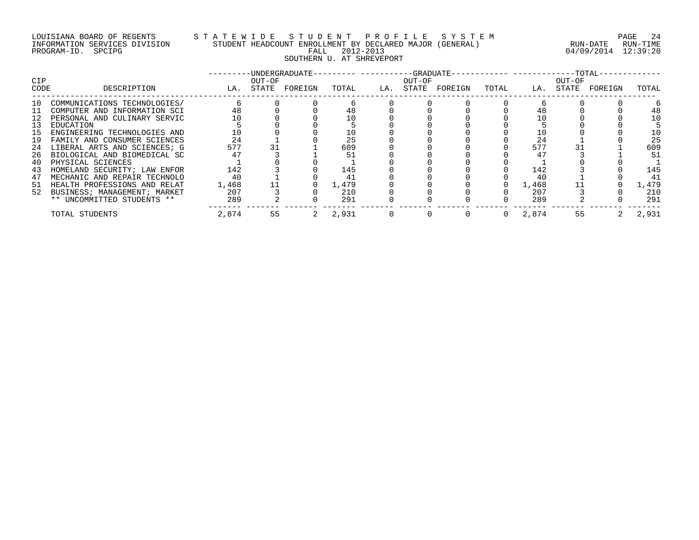## LOUISIANA BOARD OF REGENTS S T A T E W I D E S T U D E N T P R O F I L E S Y S T E M PAGE 24 INFORMATION SERVICES DIVISION STUDENT HEADCOUNT ENROLLMENT BY DECLARED MAJOR (GENERAL) RUN-DATE RUN-TIME PROGRAM-ID. SPCIPG FALL 2012-2013 04/09/2014 12:39:20 SAT ENROLLMANT DI POLITICIA<br>FALL 2012-2013<br>SOUTHERN U. AT SHREVEPORT

| <b>CIP</b> |                                 |       | OUT-OF | -UNDERGRADUATE- |       |     | OUT-OF |         |       |       | OUT-OF |         |       |
|------------|---------------------------------|-------|--------|-----------------|-------|-----|--------|---------|-------|-------|--------|---------|-------|
| CODE       | DESCRIPTION                     | LA.   | STATE  | FOREIGN         | TOTAL | LA. | STATE  | FOREIGN | TOTAL | LA.   | STATE  | FOREIGN | TOTAL |
| 10         | COMMUNICATIONS TECHNOLOGIES/    |       |        |                 |       |     |        |         |       |       |        |         |       |
| 11         | COMPUTER AND INFORMATION SCI    | 48    |        |                 | 48    |     |        |         |       |       |        |         | 48    |
|            | PERSONAL AND CULINARY SERVIC    |       |        |                 |       |     |        |         |       |       |        |         | 10    |
| 13         | EDUCATION                       |       |        |                 |       |     |        |         |       |       |        |         |       |
| 15         | ENGINEERING TECHNOLOGIES AND    |       |        |                 | 10    |     |        |         |       |       |        |         | 10    |
| 19         | FAMILY AND CONSUMER SCIENCES    | 24    |        |                 | 25    |     |        |         |       | 24    |        |         | 25    |
| 24         | LIBERAL ARTS AND SCIENCES; G    | 577   |        |                 | 609   |     |        |         |       | 577   |        |         | 609   |
| 26         | BIOLOGICAL AND BIOMEDICAL SC    |       |        |                 |       |     |        |         |       | 47    |        |         | 51    |
| 40         | PHYSICAL SCIENCES               |       |        |                 |       |     |        |         |       |       |        |         |       |
| 43         | HOMELAND SECURITY; LAW ENFOR    | 142   |        |                 | 145   |     |        |         |       | 142   |        |         | 145   |
| 47         | MECHANIC AND REPAIR TECHNOLO    | 40    |        |                 |       |     |        |         |       | 40    |        |         | 41    |
| -51        | HEALTH PROFESSIONS AND RELAT    | 1,468 |        |                 | 1,479 |     |        |         |       | 1,468 |        |         | 1,479 |
|            | 52 BUSINESS; MANAGEMENT; MARKET | 207   |        |                 | 210   |     |        |         |       | 207   |        |         | 210   |
|            | ** UNCOMMITTED STUDENTS **      | 289   |        |                 | 291   |     |        |         |       | 289   |        |         | 291   |
|            | TOTAL STUDENTS                  | 2,874 | 55     |                 | 2,931 |     |        |         | 0     | 2,874 | 55     |         | 2,931 |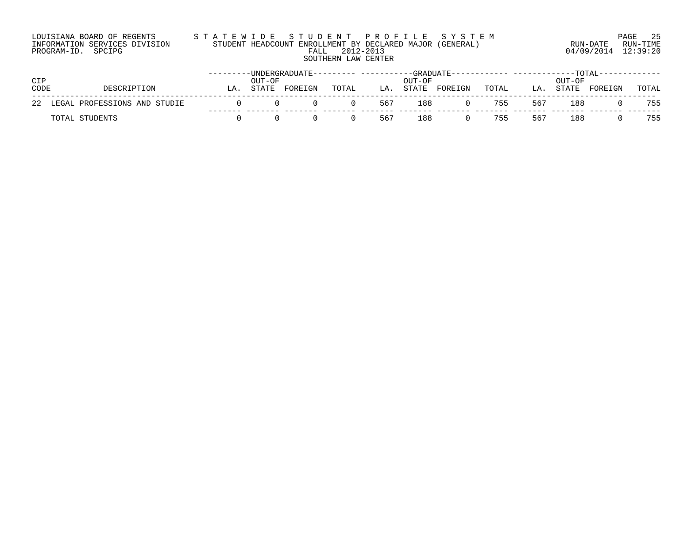| LOUISIANA BOARD OF REGENTS    | STATEWIDE STUDENT PROFILE SYSTEM                         |                     | PAGE 25  |
|-------------------------------|----------------------------------------------------------|---------------------|----------|
| INFORMATION SERVICES DIVISION | STUDENT HEADCOUNT ENROLLMENT BY DECLARED MAJOR (GENERAL) | RUN-DATE            | RUN-TIME |
| PROGRAM-ID. SPCIPG            | FALL 2012-2013                                           | 04/09/2014 12:39:20 |          |
|                               | SOUTHERN LAW CENTER                                      |                     |          |

|      |                                 |    |        |         |       |     |        |         |       |     |        | ---TOTAL---- |       |
|------|---------------------------------|----|--------|---------|-------|-----|--------|---------|-------|-----|--------|--------------|-------|
| CIP  |                                 |    | OUT-OF |         |       |     | OUT-OF |         |       |     | OUT-OF |              |       |
| CODE | DESCRIPTION                     | LA | STATE  | FOREIGN | TOTAL | LA  | STATE  | FOREIGN | TOTAL | LA. | STATE  | FOREIGN      | TOTAL |
|      | 22 LEGAL PROFESSIONS AND STUDIE |    |        |         |       | 567 | 188    |         | 755   | 567 | 188    |              | 755   |
|      | TOTAL STUDENTS                  |    |        |         |       | 567 | 188    |         | 755   | 567 | 188    |              | 755   |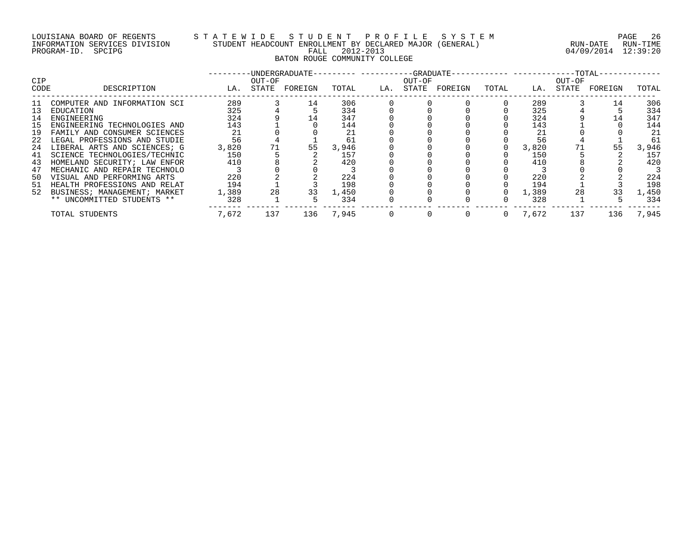## LOUISIANA BOARD OF REGENTS S T A T E W I D E S T U D E N T P R O F I L E S Y S T E M PAGE 26 INFORMATION SERVICES DIVISION STUDENT HEADCOUNT ENROLLMENT BY DECLARED MAJOR (GENERAL) RUN-DATE RUN-TIME PROGRAM-ID. SPCIPG FALL 2012-2013 04/09/2014 12:39:20 BATON ROUGE COMMUNITY COLLEGE

| CIP  |                              |       | OUT-OF | -UNDERGRADUATE- |       |     | OUT-OF |         |       | ---- ------------TOTAL- | OUT-OF |         |       |
|------|------------------------------|-------|--------|-----------------|-------|-----|--------|---------|-------|-------------------------|--------|---------|-------|
| CODE | DESCRIPTION                  | LA.   | STATE  | FOREIGN         | TOTAL | LA. | STATE  | FOREIGN | TOTAL | LA.                     | STATE  | FOREIGN | TOTAL |
| -11  | COMPUTER AND INFORMATION SCI | 289   |        | 14              | 306   |     |        |         |       | 289                     |        | 14      | 306   |
| 13   | EDUCATION                    | 325   |        |                 | 334   |     |        |         |       | 325                     |        |         | 334   |
| 14   | ENGINEERING                  | 324   |        |                 | 347   |     |        |         |       | 324                     |        |         | 347   |
| 15   | ENGINEERING TECHNOLOGIES AND | 143   |        |                 | 144   |     |        |         |       | 143                     |        |         | 144   |
| 19   | FAMILY AND CONSUMER SCIENCES | 21    |        |                 | 21    |     |        |         |       | 21                      |        |         | 21    |
| 22   | LEGAL PROFESSIONS AND STUDIE | 56    |        |                 | 61    |     |        |         |       | 56                      |        |         | 61    |
| 24   | LIBERAL ARTS AND SCIENCES; G | 3,820 | 71     | 55              | 3,946 |     |        |         |       | 3,820                   |        | 55      | 3,946 |
| 41   | SCIENCE TECHNOLOGIES/TECHNIC | 150   |        |                 | 157   |     |        |         |       | 150                     |        |         | 157   |
| 43   | HOMELAND SECURITY; LAW ENFOR | 410   |        |                 | 420   |     |        |         |       | 410                     |        |         | 420   |
| 47   | MECHANIC AND REPAIR TECHNOLO |       |        |                 |       |     |        |         |       |                         |        |         |       |
| 50   | VISUAL AND PERFORMING ARTS   | 220   |        |                 | 224   |     |        |         |       | 220                     |        |         | 224   |
| -51  | HEALTH PROFESSIONS AND RELAT | 194   |        |                 | 198   |     |        |         |       | 194                     |        |         | 198   |
| 52   | BUSINESS; MANAGEMENT; MARKET | 1,389 | 28     | 33              | 1,450 |     |        |         |       | 1,389                   | 28     | 33      | 1,450 |
|      | ** UNCOMMITTED STUDENTS **   | 328   |        |                 | 334   |     |        |         |       | 328                     |        |         | 334   |
|      | TOTAL STUDENTS               | 7,672 | 137    | 136             | 7,945 |     |        |         | 0     | 7,672                   | 137    | 136     | 7,945 |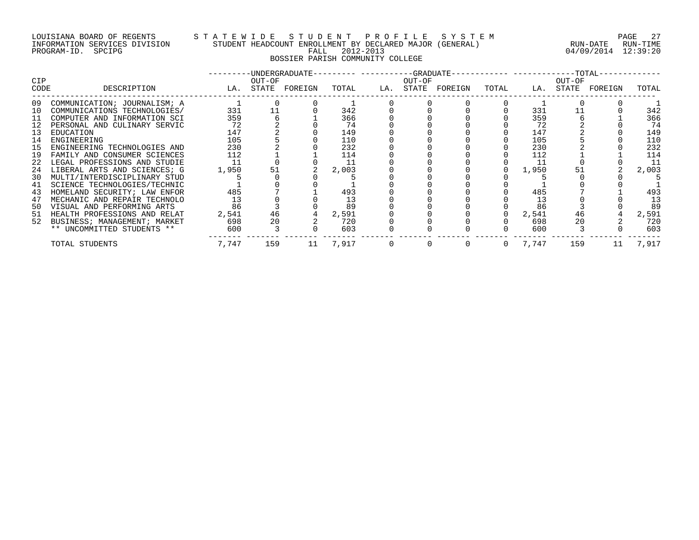## LOUISIANA BOARD OF REGENTS S T A T E W I D E S T U D E N T P R O F I L E S Y S T E M PAGE 27 INFORMATION SERVICES DIVISION STUDENT HEADCOUNT ENROLLMENT BY DECLARED MAJOR (GENERAL) RUN-DATE RUN-TIME PROGRAM-ID. SPCIPG FALL 2012-2013 04/09/2014 12:39:20 BOSSIER PARISH COMMUNITY COLLEGE

|                    |                                 |                   |        |          |        | -UNDERGRADUATE--------- ----------GRADUATE----------- -----------TOTAL- |              |       |        |                   |          |
|--------------------|---------------------------------|-------------------|--------|----------|--------|-------------------------------------------------------------------------|--------------|-------|--------|-------------------|----------|
| <b>CIP</b><br>CODE | DESCRIPTION                     | LA. STATE FOREIGN | OUT-OF | TOTAL    | OUT-OF | LA. STATE FOREIGN                                                       | TOTAL        |       | OUT-OF | LA. STATE FOREIGN | TOTAL    |
|                    |                                 |                   |        |          |        |                                                                         |              |       |        |                   |          |
| 09                 | COMMUNICATION; JOURNALISM; A    |                   |        |          |        |                                                                         |              |       |        |                   |          |
| 10                 | COMMUNICATIONS TECHNOLOGIES/    | 331               | 11     | 342      |        |                                                                         |              | 331   |        |                   | 342      |
| 11                 | COMPUTER AND INFORMATION SCI    | 359               |        | 366      |        |                                                                         |              | 359   |        |                   | 366      |
| 12                 | PERSONAL AND CULINARY SERVIC    | 72                |        | 74       |        |                                                                         |              | 72    |        |                   | 74       |
| 13                 | EDUCATION                       | 147               |        | 149      |        |                                                                         |              | 147   |        |                   | 149      |
| 14                 | ENGINEERING                     | 105               |        | 110      |        |                                                                         |              | 105   |        |                   | 110      |
| 15                 | ENGINEERING TECHNOLOGIES AND    | 230               |        | 232      |        |                                                                         |              | 230   |        |                   | 232      |
| 19                 | FAMILY AND CONSUMER SCIENCES    | 112               |        | 114      |        |                                                                         |              | 112   |        |                   | 114      |
|                    | 22 LEGAL PROFESSIONS AND STUDIE | -11               |        | -11      |        |                                                                         |              | -11   |        |                   | 11       |
| 24                 | LIBERAL ARTS AND SCIENCES; G    | 1,950             | 51     | 2,003    |        |                                                                         |              | 1,950 | 51     |                   | 2,003    |
| 30                 | MULTI/INTERDISCIPLINARY STUD    |                   |        |          |        |                                                                         |              |       |        |                   |          |
| 41                 | SCIENCE TECHNOLOGIES/TECHNIC    |                   |        |          |        |                                                                         |              |       |        |                   |          |
| 43                 | HOMELAND SECURITY; LAW ENFOR    | 485               |        | 493      |        |                                                                         |              | 485   |        |                   | 493      |
| 47                 | MECHANIC AND REPAIR TECHNOLO    | 13                |        | 13       |        |                                                                         |              | 13    |        |                   | 13       |
| 50                 | VISUAL AND PERFORMING ARTS      | 86                |        | 89       |        |                                                                         |              | 86    |        |                   | 89       |
|                    | 51 HEALTH PROFESSIONS AND RELAT | 2,541             | 46     | 2,591    |        |                                                                         |              | 2,541 | 46     |                   | 2,591    |
| 52                 | BUSINESS; MANAGEMENT; MARKET    | 698               | 20     | 720      |        |                                                                         |              | 698   | 20     |                   | 720      |
|                    | ** UNCOMMITTED STUDENTS **      | 600               |        | 603      |        |                                                                         |              | 600   |        |                   | 603      |
|                    | TOTAL STUDENTS                  | 7.747             | 159    | 11 7,917 |        |                                                                         | $\mathbf{0}$ | 7,747 | 159    |                   | 11 7,917 |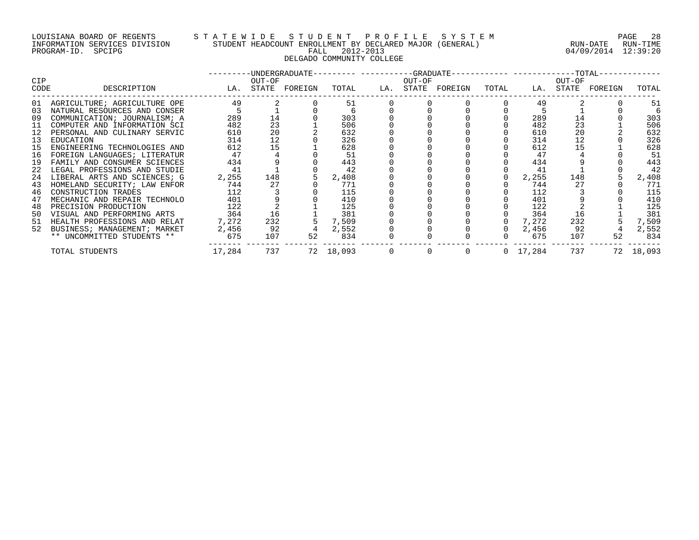## LOUISIANA BOARD OF REGENTS S T A T E W I D E S T U D E N T P R O F I L E S Y S T E M PAGE 28 INFORMATION SERVICES DIVISION STUDENT HEADCOUNT ENROLLMENT BY DECLARED MAJOR (GENERAL) RUN-DATE RUN-TIME PROGRAM-ID. SPCIPG FALL 2012-2013 04/09/2014 12:39:20 DELGADO COMMUNITY COLLEGE

|            |                                 |                   |        |    |           |                                 |        | ---------UNDERGRADUATE--------- ----------GRADUATE----------- -----------TOTAL-- |                |                 |        |                   |           |
|------------|---------------------------------|-------------------|--------|----|-----------|---------------------------------|--------|----------------------------------------------------------------------------------|----------------|-----------------|--------|-------------------|-----------|
| <b>CIP</b> |                                 |                   | OUT-OF |    |           |                                 | OUT-OF |                                                                                  |                |                 | OUT-OF |                   |           |
| CODE       | DESCRIPTION                     | LA. STATE FOREIGN |        |    |           |                                 |        | TOTAL LA. STATE FOREIGN                                                          | TOTAL          |                 |        | LA. STATE FOREIGN | TOTAL     |
|            | 01 AGRICULTURE; AGRICULTURE OPE | 49                |        |    | 51        |                                 |        |                                                                                  |                | 49              |        |                   | 51        |
| 03         | NATURAL RESOURCES AND CONSER    |                   |        |    |           |                                 |        |                                                                                  |                |                 |        |                   |           |
| 09         | COMMUNICATION; JOURNALISM; A    | 289               | 14     |    | 303       |                                 |        |                                                                                  |                | 289             | 14     |                   | 303       |
| 11         | COMPUTER AND INFORMATION SCI    | 482               | 23     |    | 506       |                                 |        |                                                                                  |                | 482             | 23     |                   | 506       |
| 12         | PERSONAL AND CULINARY SERVIC    | 610               | 20     |    | 632       |                                 |        |                                                                                  |                | 610             | 20     |                   | 632       |
| 13         | EDUCATION                       | 314               | 12     |    | 326       |                                 |        |                                                                                  |                | 314             | 12     |                   | 326       |
| 15         | ENGINEERING TECHNOLOGIES AND    | 612               | 15     |    | 628       |                                 |        |                                                                                  |                | 612             | 15     |                   | 628       |
| 16         | FOREIGN LANGUAGES; LITERATUR    | 47                |        |    | 51        |                                 |        |                                                                                  |                | 47              |        |                   | 51        |
| 19         | FAMILY AND CONSUMER SCIENCES    | 434               |        |    | 443       |                                 |        |                                                                                  |                | 434             |        |                   | 443       |
| 22         | LEGAL PROFESSIONS AND STUDIE    | 41                |        |    | 42        |                                 |        |                                                                                  |                | 41              |        |                   | 42        |
|            | 24 LIBERAL ARTS AND SCIENCES; G | 2,255             | 148    |    | 2,408     |                                 |        |                                                                                  |                | 2,255           | 148    |                   | 2,408     |
| 43         | HOMELAND SECURITY; LAW ENFOR    | 744               | 27     |    | 771       |                                 |        |                                                                                  |                | 744             | 27     |                   | 771       |
| 46         | CONSTRUCTION TRADES             | 112               |        |    | 115       |                                 |        |                                                                                  |                | 112             |        |                   | 115       |
| 47         | MECHANIC AND REPAIR TECHNOLO    | 401               |        |    | 410       |                                 |        |                                                                                  |                | 401             |        |                   | 410       |
| 48         | PRECISION PRODUCTION            | 122               |        |    | 125       |                                 |        |                                                                                  |                | 122             |        |                   | 125       |
| 50         | VISUAL AND PERFORMING ARTS      | 364               | 16     |    | 381       |                                 |        |                                                                                  |                | 364             | 16     |                   | 381       |
|            | 51 HEALTH PROFESSIONS AND RELAT | 7,272             | 232    |    | 7,509     |                                 |        |                                                                                  |                | 7,272           | 232    |                   | 7,509     |
| 52         | BUSINESS; MANAGEMENT; MARKET    | 2,456             | 92     |    | 2,552     |                                 |        |                                                                                  |                | 2,456           | 92     |                   | 2,552     |
|            | ** UNCOMMITTED STUDENTS **      | 675               | 107    | 52 | 834       |                                 |        |                                                                                  | $\mathbf{0}$   | 675             | 107    | 52                | 834       |
|            | TOTAL STUDENTS                  | 17,284            | 737    |    | 72 18,093 | $\begin{matrix}0&0\end{matrix}$ |        |                                                                                  | $\overline{0}$ | $0\quad 17,284$ |        | 737               | 72 18,093 |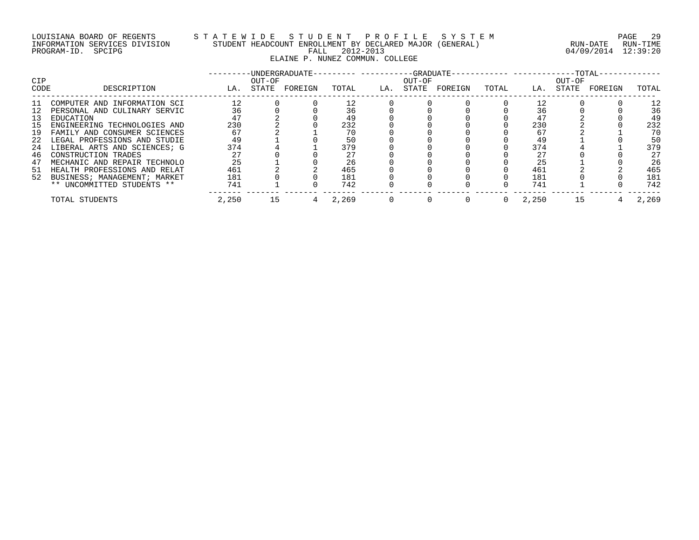## LOUISIANA BOARD OF REGENTS S T A T E W I D E S T U D E N T P R O F I L E S Y S T E M PAGE 29 INFORMATION SERVICES DIVISION STUDENT HEADCOUNT ENROLLMENT BY DECLARED MAJOR (GENERAL) RUN-DATE RUN-TIME PROGRAM-ID. SPCIPG FALL 2012-2013 04/09/2014 12:39:20 ELAINE P. NUNEZ COMMUN. COLLEGE

| <b>CIP</b> |                              |       | OUT-OF | -UNDERGRADUATE- |       |     | --GRADUATE-<br>OUT-OF |         |       |       | --TOTAL-<br>OUT-OF |         |       |
|------------|------------------------------|-------|--------|-----------------|-------|-----|-----------------------|---------|-------|-------|--------------------|---------|-------|
| CODE       | DESCRIPTION                  | LA.   | STATE  | FOREIGN         | TOTAL | LA. | STATE                 | FOREIGN | TOTAL | LA.   | STATE              | FOREIGN | TOTAL |
| -11        | COMPUTER AND INFORMATION SCI | 12    |        |                 |       |     |                       |         |       |       |                    |         | 12    |
| 12         | PERSONAL AND CULINARY SERVIC | 36    |        |                 | 36    |     |                       |         |       | 36    |                    |         | 36    |
| 13         | EDUCATION                    | 47    |        |                 | 49    |     |                       |         |       | 47    |                    |         | 49    |
| 15         | ENGINEERING TECHNOLOGIES AND | 230   |        |                 | 232   |     |                       |         |       | 230   |                    |         | 232   |
| 19         | FAMILY AND CONSUMER SCIENCES | 67    |        |                 | 70    |     |                       |         |       | 67    |                    |         | 70    |
| 22         | LEGAL PROFESSIONS AND STUDIE | 49    |        |                 | 50    |     |                       |         |       | 49    |                    |         | 50    |
| 24         | LIBERAL ARTS AND SCIENCES; G | 374   |        |                 | 379   |     |                       |         |       | 374   |                    |         | 379   |
| 46         | CONSTRUCTION TRADES          |       |        |                 | 27    |     |                       |         |       | 27    |                    |         | 27    |
| 47         | MECHANIC AND REPAIR TECHNOLO | 25    |        |                 | 26    |     |                       |         |       | 25    |                    |         | 26    |
| -51        | HEALTH PROFESSIONS AND RELAT | 461   |        |                 | 465   |     |                       |         |       | 461   |                    |         | 465   |
| 52         | BUSINESS; MANAGEMENT; MARKET | 181   |        |                 | 181   |     |                       |         |       | 181   |                    |         | 181   |
|            | ** UNCOMMITTED STUDENTS **   | 741   |        |                 | 742   |     |                       |         |       | 741   |                    |         | 742   |
|            | TOTAL STUDENTS               | 2,250 | 15     |                 | 2,269 |     |                       |         |       | 2,250 | 15                 |         | 2,269 |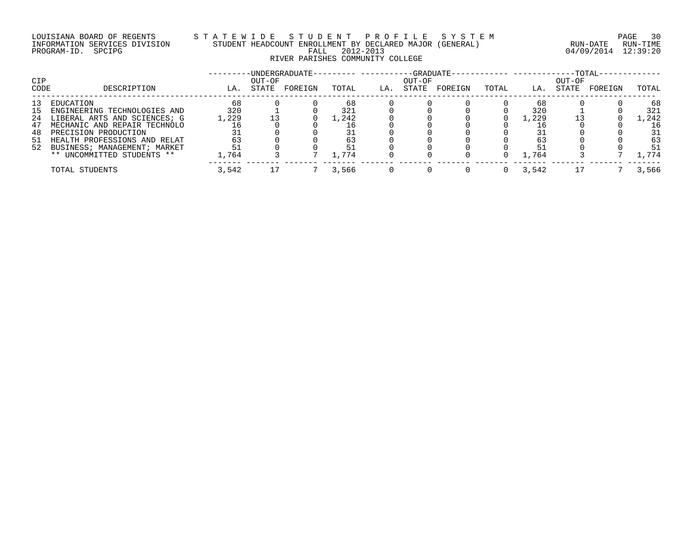## LOUISIANA BOARD OF REGENTS S T A T E W I D E S T U D E N T P R O F I L E S Y S T E M PAGE 30 INFORMATION SERVICES DIVISION STUDENT HEADCOUNT ENROLLMENT BY DECLARED MAJOR (GENERAL) RUN-DATE RUN-TIME PROGRAM-ID. SPCIPG FALL 2012-2013 04/09/2014 12:39:20 RIVER PARISHES COMMUNITY COLLEGE

|      |                                 |       |        | UNDERGRADUATE- |       |     |        | -GRADUATE-· |       |       |        | $-TOTAL-$ |         |
|------|---------------------------------|-------|--------|----------------|-------|-----|--------|-------------|-------|-------|--------|-----------|---------|
| CIP  |                                 |       | OUT-OF |                |       |     | OUT-OF |             |       |       | OUT-OF |           |         |
| CODE | DESCRIPTION                     | LA.   | STATE  | FOREIGN        | TOTAL | LA. | STATE  | FOREIGN     | TOTAL | LA.   | STATE  | FOREIGN   | TOTAL   |
| 13   | EDUCATION                       | 68    |        |                | 68    |     |        |             |       | 68    |        |           | 68      |
| L5.  | ENGINEERING TECHNOLOGIES AND    | 320   |        |                | 321   |     |        |             |       | 320   |        |           | 321     |
| 24   | LIBERAL ARTS AND SCIENCES; G    | 1,229 |        |                | 1,242 |     |        |             |       | 1,229 |        |           | . . 242 |
| 47   | MECHANIC AND REPAIR TECHNOLO    |       |        |                |       |     |        |             |       |       |        |           | 16      |
| 48   | PRECISION PRODUCTION            |       |        |                |       |     |        |             |       |       |        |           | 31      |
|      | 51 HEALTH PROFESSIONS AND RELAT | 63    |        |                |       |     |        |             |       |       |        |           | 63      |
|      | 52 BUSINESS; MANAGEMENT; MARKET | 51    |        |                |       |     |        |             |       |       |        |           | 51      |
|      | ** UNCOMMITTED STUDENTS **      | .,764 |        |                | 1,774 |     |        |             |       | 1,764 |        |           | .774    |
|      | TOTAL STUDENTS                  | 3,542 |        |                | 3,566 |     |        |             |       | 3,542 |        |           | 3,566   |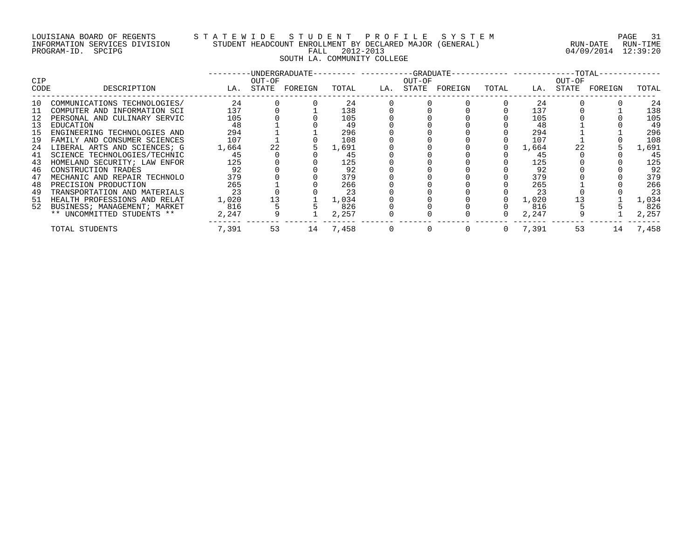## LOUISIANA BOARD OF REGENTS S T A T E W I D E S T U D E N T P R O F I L E S Y S T E M PAGE 31 INFORMATION SERVICES DIVISION STUDENT HEADCOUNT ENROLLMENT BY DECLARED MAJOR (GENERAL) RUN-DATE RUN-TIME PROGRAM-ID. SPCIPG FALL 2012-2013 04/09/2014 12:39:20 SOUTH LA. COMMUNITY COLLEGE

| <b>CIP</b> |                                 |       | OUT-OF | ---------UNDERGRADUATE--------- ----------GRADUATE----------- ------------TOTAL- |          |                | OUT-OF         |                   |          |         | OUT-OF    |         |       |
|------------|---------------------------------|-------|--------|----------------------------------------------------------------------------------|----------|----------------|----------------|-------------------|----------|---------|-----------|---------|-------|
| CODE       | DESCRIPTION                     |       |        | LA. STATE FOREIGN                                                                | TOTAL    |                |                | LA. STATE FOREIGN | TOTAL    |         | LA. STATE | FOREIGN | TOTAL |
| 10         | COMMUNICATIONS TECHNOLOGIES/    | 24    |        |                                                                                  | 24       |                |                |                   |          | 24      |           |         | 24    |
| 11         | COMPUTER AND INFORMATION SCI    | 137   |        |                                                                                  | 138      |                |                |                   |          | 137     |           |         | 138   |
| 12         | PERSONAL AND CULINARY SERVIC    | 105   |        |                                                                                  | 105      |                |                |                   |          | 105     |           |         | 105   |
| 13         | EDUCATION                       | 48    |        |                                                                                  | 49       |                |                |                   |          | 48      |           |         | 49    |
| 15         | ENGINEERING TECHNOLOGIES AND    | 294   |        |                                                                                  | 296      |                |                |                   |          | 294     |           |         | 296   |
| 19         | FAMILY AND CONSUMER SCIENCES    | 107   |        |                                                                                  | 108      |                |                |                   |          | 107     |           |         | 108   |
| 24         | LIBERAL ARTS AND SCIENCES; G    | 1,664 | 22     |                                                                                  | 1,691    |                |                |                   |          | 1,664   | 22        |         | 1,691 |
|            | 41 SCIENCE TECHNOLOGIES/TECHNIC | 45    |        |                                                                                  | 45       |                |                |                   |          | 45      |           |         | 45    |
| 43         | HOMELAND SECURITY; LAW ENFOR    | 125   |        |                                                                                  | 125      |                |                |                   |          | 125     |           |         | 125   |
| 46         | CONSTRUCTION TRADES             | 92    |        |                                                                                  | 92       |                |                |                   |          | 92      |           |         | 92    |
| 47         | MECHANIC AND REPAIR TECHNOLO    | 379   |        |                                                                                  | 379      |                |                |                   |          | 379     |           |         | 379   |
| 48         | PRECISION PRODUCTION            | 265   |        |                                                                                  | 266      |                |                |                   |          | 265     |           |         | 266   |
| 49         | TRANSPORTATION AND MATERIALS    | 23    |        |                                                                                  | 23       |                |                |                   |          | 23      |           |         | 23    |
| 51         | HEALTH PROFESSIONS AND RELAT    | 1,020 | 13     |                                                                                  | 1,034    |                |                |                   |          | 1,020   |           |         | 1,034 |
|            | 52 BUSINESS; MANAGEMENT; MARKET | 816   |        |                                                                                  | 826      |                |                |                   |          | 816     |           |         | 826   |
|            | ** UNCOMMITTED STUDENTS **      | 2,247 |        |                                                                                  | 2,257    |                |                |                   | $\Omega$ | 2,247   |           |         | 2,257 |
|            | TOTAL STUDENTS                  | 7,391 | 53     |                                                                                  | 14 7,458 | $\overline{0}$ | $\overline{0}$ | $\Omega$          |          | 0 7,391 | 53        | 14      | 7,458 |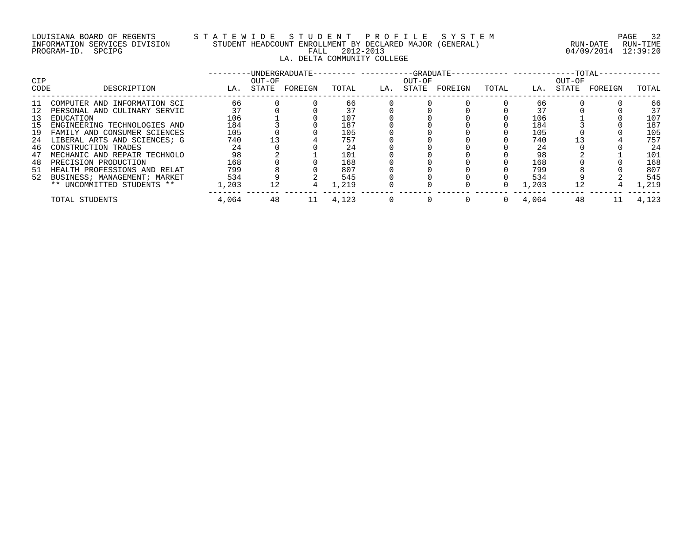## LOUISIANA BOARD OF REGENTS STATEWIDE STUDE STUDENT PROFILE SYSTEM PAGE 32<br>INFORMATION SERVICES DIVISION STUDENT HEADCOUNT ENROLLMENT BY DECLARED MAJOR (GENERAL) RUN-DATE RUN-TIME INFORMATION SERVICES DIVISION STUDENT HEADCOUNT ENROLLMENT BY DECLARED MAJOR (GENERAL)<br>PROGRAM-ID. SPCIPG LA. DELTA COMMUNITY COLLEGE

04/09/2014 12:39:20

| <b>CIP</b><br>CODE | DESCRIPTION                  | LA.   | OUT-OF<br>STATE | -UNDERGRADUATE-<br>FOREIGN | TOTAL | LA. | $-$ -GRADUATE $-$<br>OUT-OF<br>STATE | FOREIGN | TOTAL | LA.   | --TOTAL-<br>OUT-OF<br>STATE | FOREIGN | TOTAL |
|--------------------|------------------------------|-------|-----------------|----------------------------|-------|-----|--------------------------------------|---------|-------|-------|-----------------------------|---------|-------|
| -11                | COMPUTER AND INFORMATION SCI | 66    |                 |                            | 66    |     |                                      |         |       | 66    |                             |         | 66    |
| 12                 | PERSONAL AND CULINARY SERVIC | 37    |                 |                            | 37    |     |                                      |         |       | 37    |                             |         | 37    |
| 13                 | EDUCATION                    | 106   |                 |                            | 107   |     |                                      |         |       | 106   |                             |         | 107   |
| 15                 | ENGINEERING TECHNOLOGIES AND | 184   |                 |                            | 187   |     |                                      |         |       | 184   |                             |         | 187   |
| 19                 | FAMILY AND CONSUMER SCIENCES | 105   |                 |                            | 105   |     |                                      |         |       | 105   |                             |         | 105   |
| 24                 | LIBERAL ARTS AND SCIENCES; G | 740   |                 |                            | 757   |     |                                      |         |       | 740   |                             |         | 757   |
| 46                 | CONSTRUCTION TRADES          | 24    |                 |                            | 24    |     |                                      |         |       | 24    |                             |         | 24    |
| 47                 | MECHANIC AND REPAIR TECHNOLO | 98    |                 |                            | 101   |     |                                      |         |       | 98    |                             |         | 101   |
| 48                 | PRECISION PRODUCTION         | 168   |                 |                            | 168   |     |                                      |         |       | 168   |                             |         | 168   |
| -51                | HEALTH PROFESSIONS AND RELAT | 799   |                 |                            | 807   |     |                                      |         |       | 799   |                             |         | 807   |
| 52                 | BUSINESS; MANAGEMENT; MARKET | 534   |                 |                            | 545   |     |                                      |         |       | 534   |                             |         | 545   |
|                    | ** UNCOMMITTED STUDENTS **   | 1,203 |                 |                            | 1,219 |     |                                      |         |       | 1,203 |                             |         | .,219 |
|                    | TOTAL STUDENTS               | 4,064 | 48              | 11                         | 4,123 |     |                                      |         |       | 4,064 | 48                          |         | 4,123 |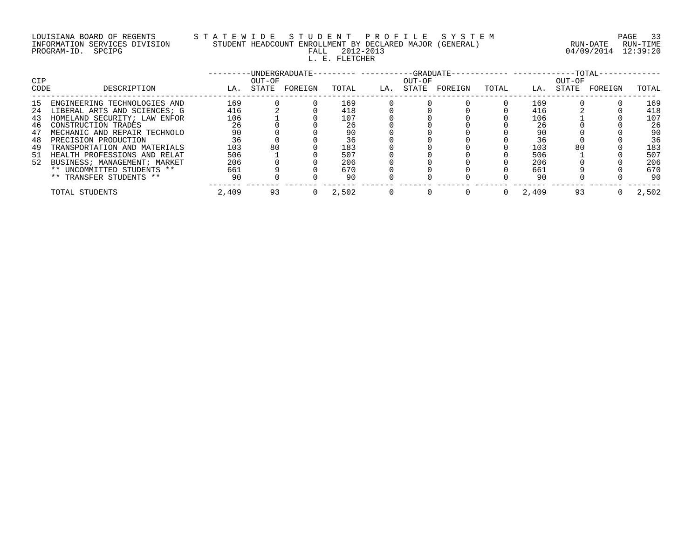## LOUISIANA BOARD OF REGENTS S T A T E W I D E S T U D E N T P R O F I L E S Y S T E M PAGE 33 INFORMATION SERVICES DIVISION STUDENT HEADCOUNT ENROLLMENT BY DECLARED MAJOR (GENERAL) RUN-DATE RUN-TIME PROGRAM-ID. SPCIPG FALL 2012-2013 04/09/2014 12:39:20 L. E. FLETCHER

| <b>CIP</b> |                              |       | OUT-OF | -UNDERGRADUATE- |       |     | $-GRADUATE-$<br>OUT-OF |         |       |       | OUT-OF | $-TOTAL-$ |       |
|------------|------------------------------|-------|--------|-----------------|-------|-----|------------------------|---------|-------|-------|--------|-----------|-------|
| CODE       | DESCRIPTION                  | LA.   | STATE  | FOREIGN         | TOTAL | LA. | STATE                  | FOREIGN | TOTAL | LA.   | STATE  | FOREIGN   | TOTAL |
| 15         | ENGINEERING TECHNOLOGIES AND | 169   |        |                 | 169   |     |                        |         |       | 169   |        |           | 169   |
| 24         | LIBERAL ARTS AND SCIENCES; G | 416   |        |                 | 418   |     |                        |         |       | 416   |        |           | 418   |
| 43         | HOMELAND SECURITY; LAW ENFOR | 106   |        |                 | 107   |     |                        |         |       | 106   |        |           | 107   |
| 46         | CONSTRUCTION TRADES          | 26    |        |                 | 26    |     |                        |         |       | 26    |        |           | 26    |
| 47         | MECHANIC AND REPAIR TECHNOLO | 90    |        |                 | 90    |     |                        |         |       | 90    |        |           | 90    |
| 48         | PRECISION PRODUCTION         | 36    |        |                 | 36    |     |                        |         |       | 36    |        |           | 36    |
| 49         | TRANSPORTATION AND MATERIALS | 103   | 80     |                 | 183   |     |                        |         |       | 103   | 80     |           | 183   |
| 51         | HEALTH PROFESSIONS AND RELAT | 506   |        |                 | 507   |     |                        |         |       | 506   |        |           | 507   |
| 52         | BUSINESS; MANAGEMENT; MARKET | 206   |        |                 | 206   |     |                        |         |       | 206   |        |           | 206   |
|            | ** UNCOMMITTED STUDENTS **   | 661   |        |                 | 670   |     |                        |         |       | 661   |        |           | 670   |
|            | ** TRANSFER STUDENTS **      | 90    |        |                 | 90    |     |                        |         |       | 90    |        |           | 90    |
|            | TOTAL STUDENTS               | 2,409 | 93     | (1)             | 2,502 |     |                        |         |       | 2,409 | 93     |           | 2,502 |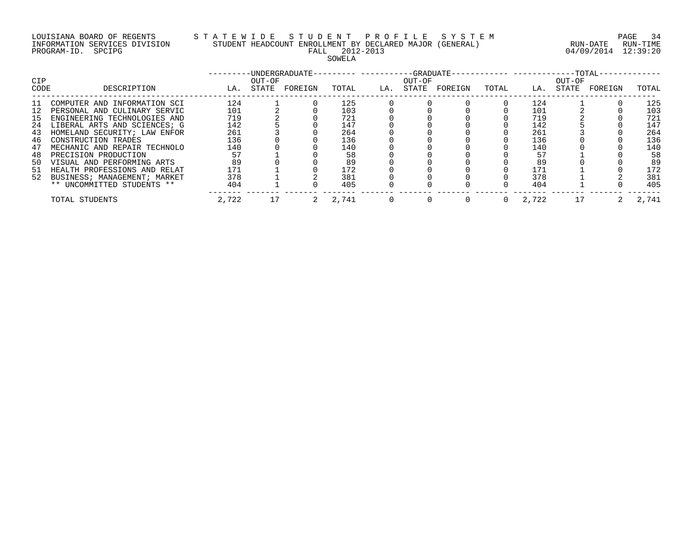## LOUISIANA BOARD OF REGENTS S T A T E W I D E S T U D E N T P R O F I L E S Y S T E M PAGE 34 INFORMATION SERVICES DIVISION STUDENT HEADCOUNT ENROLLMENT BY DECLARED MAJOR (GENERAL) RUN-DATE RUN-TIME PROGRAM-ID. SPCIPG FALL 2012-2013 04/09/2014 12:39:20 SOWELA

| <b>CIP</b> |                                 |       | OUT-OF | -UNDERGRADUATE- |       |     | OUT-OF | -GRADUATE- |       |       | OUT-OF | $-TOTAL-$ |       |
|------------|---------------------------------|-------|--------|-----------------|-------|-----|--------|------------|-------|-------|--------|-----------|-------|
| CODE       | DESCRIPTION                     | LA.   | STATE  | FOREIGN         | TOTAL | LA. | STATE  | FOREIGN    | TOTAL | LA.   | STATE  | FOREIGN   | TOTAL |
| ᆚᆚ         | COMPUTER AND INFORMATION SCI    | 124   |        |                 | 125   |     |        |            |       | 124   |        |           | 125   |
|            | PERSONAL AND CULINARY SERVIC    | 101   |        |                 | 103   |     |        |            |       | 101   |        |           | 103   |
| 15.        | ENGINEERING TECHNOLOGIES AND    | 719   |        |                 | 721   |     |        |            |       | 719   |        |           | 721   |
| 24         | LIBERAL ARTS AND SCIENCES; G    | 142   |        |                 | 147   |     |        |            |       | 142   |        |           | 147   |
| 43         | HOMELAND SECURITY; LAW ENFOR    | 261   |        |                 | 264   |     |        |            |       | 261   |        |           | 264   |
| 46         | CONSTRUCTION TRADES             | 136   |        |                 | 136   |     |        |            |       | 136   |        |           | 136   |
| 47         | MECHANIC AND REPAIR TECHNOLO    | 140   |        |                 | 140   |     |        |            |       | 140   |        |           | 140   |
| 48         | PRECISION PRODUCTION            | 57    |        |                 | 58    |     |        |            |       | 57    |        |           | 58    |
| 50         | VISUAL AND PERFORMING ARTS      | 89    |        |                 | 89    |     |        |            |       | 89    |        |           | 89    |
| 51         | HEALTH PROFESSIONS AND RELAT    | 171   |        |                 | 172   |     |        |            |       | 171   |        |           | 172   |
|            | 52 BUSINESS; MANAGEMENT; MARKET | 378   |        |                 | 381   |     |        |            |       | 378   |        |           | 381   |
|            | ** UNCOMMITTED STUDENTS **      | 404   |        |                 | 405   |     |        |            |       | 404   |        |           | 405   |
|            | TOTAL STUDENTS                  | 2,722 |        |                 | 2,741 |     |        |            |       | 2,722 |        |           | 2.741 |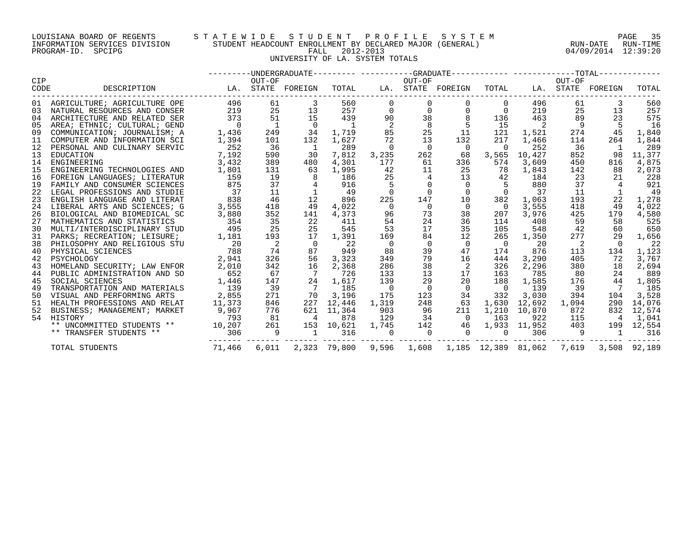## LOUISIANA BOARD OF REGENTS S T A T E W I D E S T U D E N T P R O F I L E S Y S T E M PAGE 35 INFORMATION SERVICES DIVISION STUDENT HEADCOUNT ENROLLMENT BY DECLARED MAJOR (GENERAL) RUN-DATE RUN-TIME PROGRAM-ID. SPCIPG FALL 2012-2013 04/09/2014 12:39:20 UNIVERSITY OF LA. SYSTEM TOTALS

| <b>CIP</b> |                              |                | OUT-OF                  | ---------UNDERGRADUATE--------- ----------GRADUATE----------- ------------TOTAL------------ |                |                | OUT-OF         |                                                      |                          |                | OUT-OF         |                   |              |
|------------|------------------------------|----------------|-------------------------|---------------------------------------------------------------------------------------------|----------------|----------------|----------------|------------------------------------------------------|--------------------------|----------------|----------------|-------------------|--------------|
| CODE       | DESCRIPTION                  |                |                         | LA. STATE FOREIGN                                                                           | TOTAL          |                |                | LA. STATE FOREIGN                                    | TOTAL                    |                |                | LA. STATE FOREIGN | TOTAL        |
| 01         | AGRICULTURE; AGRICULTURE OPE | 496            | 61                      | 3                                                                                           | 560            | $\Omega$       |                |                                                      | 0                        | 496            | 61             | 3                 | 560          |
| 03         | NATURAL RESOURCES AND CONSER | 219            | 25                      | 13                                                                                          | 257            | $\mathbf 0$    | $\mathbf 0$    |                                                      | $\mathbf 0$              | 219            | 25             | 13                | 257          |
| 04         | ARCHITECTURE AND RELATED SER | 373            | 51                      | 15                                                                                          | 439            | 90             | 38             |                                                      | 136                      | 463            | 89             | 23                | 575          |
| 05         | AREA; ETHNIC; CULTURAL; GEND | $\overline{0}$ | $\mathbf{1}$            | $\overline{0}$                                                                              | $\overline{1}$ | 2              | 8              |                                                      | 15                       | $\overline{2}$ | 9              |                   | 16           |
| 09         | COMMUNICATION; JOURNALISM; A | 1,436          | 249                     | 34                                                                                          | 1,719          | 85             | 25             | 11                                                   | 121                      | 1,521          | 274            | 45                | 1,840        |
| 11         | COMPUTER AND INFORMATION SCI | 1,394          | 101                     | 132                                                                                         | 1,627          | 72             | 13             | 132                                                  | 217                      | 1,466          | 114            | 264               | 1,844        |
| 12         | PERSONAL AND CULINARY SERVIC | 252            | 36                      | $\mathbf{1}$                                                                                | 289            | $\Omega$       | $\overline{0}$ | $\overline{0}$                                       | 0                        | 252            | 36             | $\overline{1}$    | 289          |
| 13         | EDUCATION                    | 7,192          | 590                     | 30                                                                                          | 7,812          | 3,235          | 262            | 68                                                   | 3,565                    | 10,427         | 852            | 98                | 11,377       |
| 14         | ENGINEERING                  | 3,432          | 389                     | 480                                                                                         | 4,301          | 177            | 61             | 336                                                  | 574                      | 3,609          | 450            | 816               | 4,875        |
| 15         | ENGINEERING TECHNOLOGIES AND | 1,801          | 131                     | 63                                                                                          | 1,995          | 42             | 11             | 25                                                   | 78                       | 1,843          | 142            | 88                | 2,073        |
| 16         | FOREIGN LANGUAGES; LITERATUR | 159            | 19                      | 8                                                                                           | 186            | 25             |                | 13                                                   | 42                       | 184            | 23             | 21                | 228          |
| 19         | FAMILY AND CONSUMER SCIENCES | 875            | 37                      |                                                                                             | 916            |                |                | $\overline{0}$                                       |                          | 880            | 37             |                   | 921          |
| 22         | LEGAL PROFESSIONS AND STUDIE | 37             | 11                      |                                                                                             | 49             |                |                |                                                      |                          | 37             | 11             |                   | 49           |
| 23         | ENGLISH LANGUAGE AND LITERAT | 838            | 46                      | 12                                                                                          | 896            | 225            | 147            | 10                                                   | 382                      | 1,063          | 193            | 22                | 1,278        |
| 24         | LIBERAL ARTS AND SCIENCES; G | 3,555          | 418                     | 49                                                                                          | 4,022          | $\Omega$       | $\Omega$       | $\Omega$                                             | $\overline{0}$           | 3,555          | 418            | 49                | 4,022        |
| 26         | BIOLOGICAL AND BIOMEDICAL SC | 3,880          | 352                     | 141                                                                                         | 4,373          | 96             | 73             | 38                                                   | 207                      | 3,976          | 425            | 179               | 4,580        |
| 27         | MATHEMATICS AND STATISTICS   | 354            | 35                      | 22                                                                                          | 411            | 54             | 24             | 36                                                   | 114                      | 408            | 59             | 58                | 525          |
| 30         | MULTI/INTERDISCIPLINARY STUD | 495            | 25                      | 25                                                                                          | 545            | 53             | 17             | 35                                                   | 105                      | 548            | 42             | 60                | 650          |
| 31         | PARKS; RECREATION; LEISURE;  | 1,181          | 193                     | 17                                                                                          | 1,391          | 169            | 84             | 12                                                   | 265                      | 1,350          | 277            | 29                | 1,656        |
| 38         | PHILOSOPHY AND RELIGIOUS STU | 20             | $\overline{\mathbf{c}}$ | $\Omega$                                                                                    | 22             | $\overline{0}$ | $\overline{0}$ | $\Omega$                                             | $\overline{0}$           | 20             | $\overline{2}$ | $\Omega$          | 22           |
| 40         | PHYSICAL SCIENCES            | 788            | 74                      | 87                                                                                          | 949            | 88             | 39             | 47                                                   | 174                      | 876            | 113            | 134               | 1,123        |
| 42         | PSYCHOLOGY                   | 2,941          | 326                     | 56                                                                                          | 3,323          | 349            | 79             | 16                                                   | 444                      | 3,290          | 405            | 72                | 3,767        |
| 43         | HOMELAND SECURITY; LAW ENFOR | 2,010          | 342                     | 16                                                                                          | 2,368          | 286            | 38             | 2                                                    | 326                      | 2,296          | 380            | 18                | 2,694        |
| 44         | PUBLIC ADMINISTRATION AND SO | 652            | 67                      | $7\phantom{.0}\phantom{.0}7$                                                                | 726            | 133            | 13             | 17                                                   | 163                      | 785            | 80             | 24                | 889          |
| 45         | SOCIAL SCIENCES              | 1,446          | 147                     | 24                                                                                          | 1,617          | 139            | 29             | 20                                                   | 188                      | 1,585          | 176            | 44                | 1,805        |
| 49         | TRANSPORTATION AND MATERIALS | 139            | 39                      | $\overline{7}$                                                                              | 185            | $\overline{0}$ | $\overline{0}$ | $\overline{0}$                                       | $\overline{\phantom{0}}$ | 139            | 39             | $\overline{7}$    | 185          |
| 50         | VISUAL AND PERFORMING ARTS   | 2,855          | 271                     | 70                                                                                          | 3,196          | 175            | 123            | 34                                                   | 332                      | 3,030          | 394            | 104               | 3,528        |
| 51         | HEALTH PROFESSIONS AND RELAT | 11,373         | 846                     | 227                                                                                         | 12,446         | 1,319          | 248            | 63                                                   | 1,630                    | 12,692         | 1,094          | 290               | 14,076       |
| 52         | BUSINESS; MANAGEMENT; MARKET | 9,967          | 776                     |                                                                                             | 621 11,364     | 903            | 96             | 211                                                  | 1,210                    | 10,870         | 872            | 832               | 12,574       |
|            | 54 HISTORY                   | 793            | 81                      | $\overline{4}$                                                                              | 878            | 129            | 34             | $\overline{0}$                                       | 163                      | 922            | 115            | $\overline{4}$    | 1,041        |
|            | ** UNCOMMITTED STUDENTS **   | 10,207         | 261                     |                                                                                             | 153 10,621     | 1,745          | 142            | 46                                                   |                          | 1,933 11,952   | 403            |                   | 199 12,554   |
|            | ** TRANSFER STUDENTS **      | 306            | 9                       | $\overline{1}$                                                                              | 316            |                | $\overline{0}$ |                                                      | $\mathbf{0}$             | 306            | 9              | $\overline{1}$    | 316          |
|            | TOTAL STUDENTS               | 71,466         | 6,011                   |                                                                                             | 2,323 79,800   |                |                | 9,596    1,608    1,185    12,389    81,062    7,619 |                          |                |                |                   | 3,508 92,189 |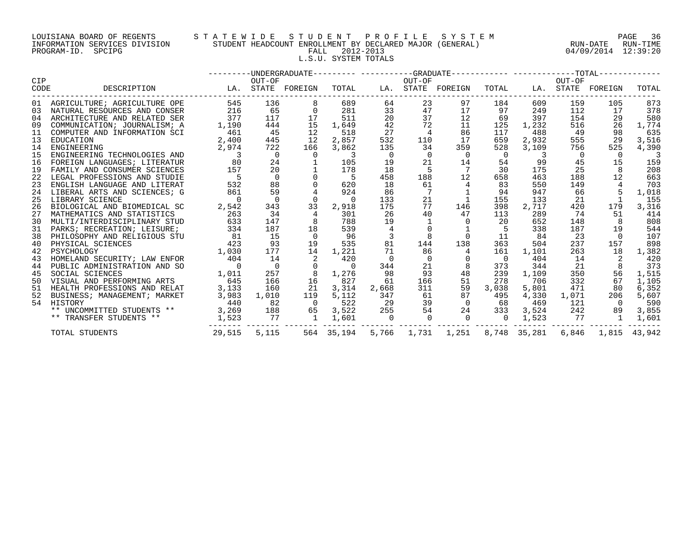## LOUISIANA BOARD OF REGENTS S T A T E W I D E S T U D E N T P R O F I L E S Y S T E M PAGE 36 INFORMATION SERVICES DIVISION STUDENT HEADCOUNT ENROLLMENT BY DECLARED MAJOR (GENERAL) RUN-DATE RUN-TIME PROGRAM-ID. SPCIPG FALL 2012-2013 04/09/2014 12:39:20 L.S.U. SYSTEM TOTALS

|             |                                 |                            |                |                          |                          |                | ---------UNDERGRADUATE--------- ----------GRADUATE----------- -------------TOTAL------------ |                                                              |                |                          |                |                   |       |
|-------------|---------------------------------|----------------------------|----------------|--------------------------|--------------------------|----------------|----------------------------------------------------------------------------------------------|--------------------------------------------------------------|----------------|--------------------------|----------------|-------------------|-------|
| CIP<br>CODE | DESCRIPTION                     | LA. STATE FOREIGN          | OUT-OF         |                          | TOTAL                    |                | OUT-OF                                                                                       | LA. STATE FOREIGN                                            | TOTAL          |                          | OUT-OF         | LA. STATE FOREIGN | TOTAL |
|             | 01 AGRICULTURE; AGRICULTURE OPE | 545                        | 136            | 8                        | 689                      | 64             | 23                                                                                           | 97                                                           | 184            | 609                      | 159            | 105               | 873   |
|             | 03 NATURAL RESOURCES AND CONSER | 216                        | 65             | $\Omega$                 | 281                      | 33             | 47                                                                                           | 17                                                           | 97             | 249                      | 112            | 17                | 378   |
|             | 04 ARCHITECTURE AND RELATED SER | 377                        | 117            | 17                       | 511                      | 20             | 37                                                                                           | 12                                                           | 69             | 397                      | 154            | 29                | 580   |
| 09          | COMMUNICATION; JOURNALISM; A    | 1,190                      | 444            | 15                       | 1,649                    | 42             | 72                                                                                           | 11                                                           | 125            | 1,232                    | 516            | 26                | 1,774 |
| 11          | COMPUTER AND INFORMATION SCI    | 461                        | 45             | 12                       | 518                      | 27             | $\overline{4}$                                                                               | 86                                                           | 117            | 488                      | 49             | 98                | 635   |
| 13          | EDUCATION                       | 2,400                      | 445            | 12                       | 2,857                    | 532            | 110                                                                                          | 17                                                           | 659            | 2,932                    | 555            | 29                | 3,516 |
| 14          | ENGINEERING                     | 2,974                      | 722            | 166                      | 3,862                    | 135            | 34                                                                                           | 359                                                          | 528            | 3,109                    | 756            | 525               | 4,390 |
| 15          | ENGINEERING TECHNOLOGIES AND    | $\overline{\phantom{a}}$ 3 | $\overline{0}$ | $\overline{0}$           | $\overline{\phantom{a}}$ | $\overline{0}$ | $\overline{0}$                                                                               | $\overline{0}$                                               | $\overline{0}$ | $\overline{\phantom{a}}$ | $\overline{0}$ | $\overline{0}$    |       |
| 16          | FOREIGN LANGUAGES; LITERATUR    | 80                         | 24             |                          | 105                      | 19             | 21                                                                                           | 14                                                           | 54             | 99                       | 45             | 15                | 159   |
| 19          | FAMILY AND CONSUMER SCIENCES    | 157                        | 20             |                          | 178                      | 18             | $5^{\circ}$                                                                                  |                                                              | 30             | 175                      | 25             | 8                 | 208   |
| 22          | LEGAL PROFESSIONS AND STUDIE    | $5^{\circ}$                | $\overline{0}$ | $\Omega$                 | $5^{\circ}$              | 458            | 188                                                                                          | 12                                                           | 658            | 463                      | 188            | 12                | 663   |
| 23          | ENGLISH LANGUAGE AND LITERAT    | 532                        | 88             | $\Omega$                 | 620                      | 18             | 61                                                                                           | $4\overline{ }$                                              | 83             | 550                      | 149            |                   | 703   |
| 24          | LIBERAL ARTS AND SCIENCES; G    | 861                        | 59             |                          | 924                      | 86             |                                                                                              |                                                              | 94             | 947                      | 66             |                   | 1,018 |
| 25          | LIBRARY SCIENCE                 | $\overline{0}$             | $\Omega$       | $\Omega$                 | $\overline{0}$           | 133            | 21                                                                                           | $\overline{1}$                                               | 155            | 133                      | 21             |                   | 155   |
| 26          | BIOLOGICAL AND BIOMEDICAL SC    | 2,542                      | 343            | 33                       | 2,918                    | 175            | 77                                                                                           | 146                                                          | 398            | 2,717                    | 420            | 179               | 3,316 |
| 27          | MATHEMATICS AND STATISTICS      | 263                        | 34             | $\overline{4}$           | 301                      | 26             | 40                                                                                           | 47                                                           | 113            | 289                      | 74             | 51                | 414   |
| 30          | MULTI/INTERDISCIPLINARY STUD    | 633                        | 147            | 8                        | 788                      | 19             |                                                                                              |                                                              | - 20           | 652                      | 148            |                   | 808   |
| 31          | PARKS; RECREATION; LEISURE;     | 334                        | 187            | 18                       | 539                      |                |                                                                                              |                                                              | 5              | 338                      | 187            | 19                | 544   |
| 38          | PHILOSOPHY AND RELIGIOUS STU    | 81                         | 15             | $\overline{0}$           | 96                       | 3              |                                                                                              | $\overline{0}$                                               | 11             | 84                       | 23             | $\bigcap$         | 107   |
| 40          | PHYSICAL SCIENCES               | 423                        | 93             | 19                       | 535                      | 81             | 144                                                                                          | 138                                                          | 363            | 504                      | 237            | 157               | 898   |
| 42          | PSYCHOLOGY                      | 1,030                      | 177            | 14                       | 1,221                    | 71             | 86                                                                                           | $4\overline{ }$                                              | 161            | 1,101                    | 263            | 18                | 1,382 |
| 43          | HOMELAND SECURITY; LAW ENFOR    | 404                        | 14             | 2                        | 420                      | $\overline{0}$ | $\overline{0}$                                                                               | $\overline{0}$                                               | $\overline{0}$ | 404                      | 14             |                   | 420   |
| 44          | PUBLIC ADMINISTRATION AND SO    | $\overline{0}$<br>1,011    | $\overline{0}$ | $\overline{0}$           | $\overline{0}$           | 344            | 21                                                                                           | 8                                                            | 373            | 344                      | 21             | 8                 | 373   |
| 45          | SOCIAL SCIENCES                 |                            | 257            | 8                        | 1,276                    | 98             | 93                                                                                           | 48                                                           | 239            | 1,109                    | 350            | 56                | 1,515 |
| 50          | VISUAL AND PERFORMING ARTS      | 645                        | 166            | 16                       | 827                      | 61             | 166                                                                                          | 51                                                           | 278            | 706                      | 332            | 67                | 1,105 |
| 51          | HEALTH PROFESSIONS AND RELAT    | 3,133                      | 160            | 21                       | 3,314                    | 2,668          | 311                                                                                          | 59                                                           | 3,038          | 5,801                    | 471            | 80                | 6,352 |
| 52          | BUSINESS; MANAGEMENT; MARKET    | 3,983                      | 1,010          | 119                      | 5,112                    | 347            | 61                                                                                           | 87                                                           | 495            | 4,330                    | 1,071          | 206               | 5,607 |
|             | 54 HISTORY                      | 440                        | 82             | $\overline{\phantom{0}}$ | 522                      | 29             |                                                                                              | 39<br>$\overline{0}$                                         | 68             | 469                      | 121            | $\bigcap$         | 590   |
|             | ** UNCOMMITTED STUDENTS **      |                            | 3,269 188      | 65                       | 3,522                    | 255            |                                                                                              | 54 24 333 3,524                                              |                |                          | 242            | 89                | 3,855 |
|             | ** TRANSFER STUDENTS **         | 1,523                      | 77             | 1                        | 1,601                    | $\overline{0}$ |                                                                                              | $0\qquad 0$                                                  | $\overline{0}$ | 1,523                    | 77             | $\mathbf{1}$      | 1,601 |
|             | TOTAL STUDENTS                  |                            | 29,515 5,115   |                          |                          |                |                                                                                              | 564 35,194 5,766 1,731 1,251 8,748 35,281 6,846 1,815 43,942 |                |                          |                |                   |       |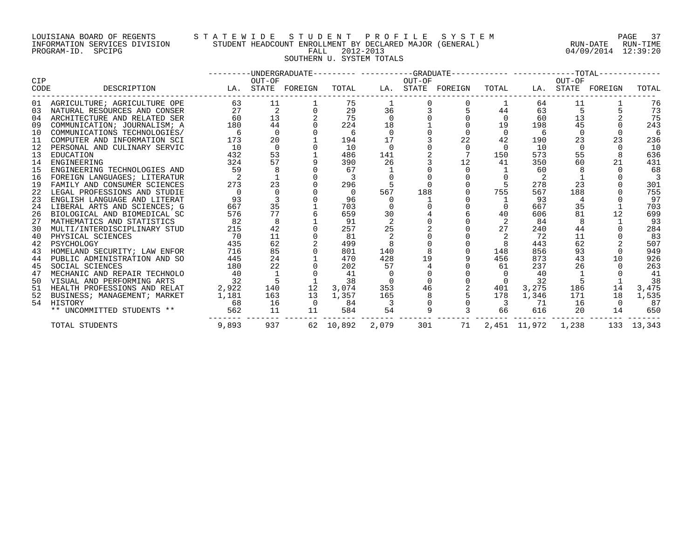## LOUISIANA BOARD OF REGENTS S T A T E W I D E S T U D E N T P R O F I L E S Y S T E M PAGE 37 INFORMATION SERVICES DIVISION STUDENT HEADCOUNT ENROLLMENT BY DECLARED MAJOR (GENERAL) RUN-DATE RUN-TIME PROGRAM-ID. SPCIPG FALL 2012-2013 04/09/2014 12:39:20 SOUTHERN U. SYSTEM TOTALS

| <b>CIP</b> |                                 |                                                                           |                |                | OUT-OF    |                |     | ---------UNDERGRADUATE---------- ---------GRADUATE------------ -------------TOTAL------------<br>OUT-OF |                          |           |          |                                       |       |
|------------|---------------------------------|---------------------------------------------------------------------------|----------------|----------------|-----------|----------------|-----|---------------------------------------------------------------------------------------------------------|--------------------------|-----------|----------|---------------------------------------|-------|
| CODE       | DESCRIPTION                     | LA. STATE FOREIGN  TOTAL    LA. STATE FOREIGN  TOTAL    LA. STATE FOREIGN | OUT-OF         |                |           |                |     |                                                                                                         |                          |           |          |                                       | TOTAL |
|            | 01 AGRICULTURE; AGRICULTURE OPE |                                                                           | 63 11          |                | 75        |                |     |                                                                                                         |                          | 64        | 11       |                                       | 76    |
|            | 03 NATURAL RESOURCES AND CONSER | 27                                                                        | $\overline{a}$ |                | 29        | 36             |     |                                                                                                         | 44                       | 63        | 5        |                                       | 73    |
|            | 04 ARCHITECTURE AND RELATED SER | 60                                                                        | 13             |                | 75        | $\overline{0}$ |     |                                                                                                         | $\overline{0}$           | 60        | 13       |                                       | 75    |
| 09         | COMMUNICATION; JOURNALISM; A    | 180                                                                       | 44             |                | 224       | 18             |     |                                                                                                         | 19                       | 198       | 45       |                                       | 243   |
|            | 10 COMMUNICATIONS TECHNOLOGIES/ | -6                                                                        | $\Omega$       |                | -6        | $\Omega$       |     |                                                                                                         | $\Omega$                 | -6        | $\Omega$ |                                       | 6     |
|            | 11 COMPUTER AND INFORMATION SCI | 173                                                                       | 20             |                | 194       | 17             |     | 22                                                                                                      | 42                       | 190       | 23       |                                       | 236   |
|            | 12 PERSONAL AND CULINARY SERVIC | 10                                                                        | $\Omega$       |                | 10        |                |     |                                                                                                         | 0                        | 10        | $\Omega$ |                                       | 10    |
| 13         | EDUCATION                       | 432                                                                       | 53             |                | 486       | 141            |     |                                                                                                         | 150                      | 573       | 55       |                                       | 636   |
|            | 14 ENGINEERING                  | 324                                                                       | 57             |                | 390       | 26             |     | 12                                                                                                      | 41                       | 350       | 60       | 21                                    | 431   |
| 15         | ENGINEERING TECHNOLOGIES AND    | 59                                                                        | 8              |                | 67        |                |     | $\Omega$                                                                                                |                          | 60        | 8        |                                       | 68    |
|            | 16 FOREIGN LANGUAGES; LITERATUR |                                                                           |                |                |           |                |     | $\Omega$                                                                                                | $\Omega$                 | -2        |          |                                       |       |
| 19         | FAMILY AND CONSUMER SCIENCES    | 273                                                                       | 23             |                | 296       |                |     | $\Omega$                                                                                                | 5                        | 278       | 23       |                                       | 301   |
|            | 22 LEGAL PROFESSIONS AND STUDIE | $\Omega$                                                                  | $\Omega$       |                | $\Omega$  | 567            | 188 |                                                                                                         | 755                      | 567       | 188      |                                       | 755   |
|            | 23 ENGLISH LANGUAGE AND LITERAT | 93                                                                        |                |                | 96        |                |     |                                                                                                         |                          | 93        |          |                                       | 97    |
| 24         | LIBERAL ARTS AND SCIENCES; G    | 667                                                                       | 35             |                | 703       |                |     |                                                                                                         | $\Omega$                 | 667       | 35       |                                       | 703   |
|            | 26 BIOLOGICAL AND BIOMEDICAL SC | 576                                                                       | 77             |                | 659       | 30             |     |                                                                                                         | 40                       | 606       | 81       | 12                                    | 699   |
| 27         | MATHEMATICS AND STATISTICS      | 82                                                                        | 8              |                | 91        | 2              |     |                                                                                                         | 2                        | 84        | 8        |                                       | 93    |
| 30         | MULTI/INTERDISCIPLINARY STUD    | 215                                                                       | 42             |                | 257       | 25             |     |                                                                                                         | 27                       | 240       | 44       |                                       | 284   |
| 40         | PHYSICAL SCIENCES               | 70                                                                        | 11             |                | 81        |                |     |                                                                                                         | 2                        | 72        | 11       |                                       | 83    |
| 42         | PSYCHOLOGY                      | 435                                                                       | 62             |                | 499       |                |     |                                                                                                         |                          | 443       | 62       |                                       | 507   |
|            | 43 HOMELAND SECURITY; LAW ENFOR | 716                                                                       | 85             |                | 801       | 140            |     |                                                                                                         | 148                      | 856       | 93       |                                       | 949   |
|            | 44 PUBLIC ADMINISTRATION AND SO | 445                                                                       | 24             |                | 470       | 428            | 19  |                                                                                                         | 456                      | 873       | 43       | 10                                    | 926   |
|            | 45 SOCIAL SCIENCES              | 180                                                                       | 22             |                | 202       | 57             |     |                                                                                                         | 61                       | 237       | 26       |                                       | 263   |
| 47         | MECHANIC AND REPAIR TECHNOLO    | 40                                                                        |                |                | 41        |                |     |                                                                                                         | $\mathbf{0}$             | 40        |          |                                       | 41    |
| 50         | VISUAL AND PERFORMING ARTS      | 32                                                                        | 5              |                | 38        | $\Omega$       |     |                                                                                                         | $\overline{0}$           | 32        | 5        |                                       | 38    |
| 51         | HEALTH PROFESSIONS AND RELAT    | 2,922                                                                     | 140            | 12             | 3,074     | 353            | 46  |                                                                                                         | 401                      | 3,275     | 186      | 14                                    | 3,475 |
| 52         | BUSINESS; MANAGEMENT; MARKET    | 1,181                                                                     | 163            | 13             | 1,357     | 165            |     |                                                                                                         |                          | 178 1,346 | 171      | 18                                    | 1,535 |
|            | 54 HISTORY                      | 68                                                                        | 16             | $\overline{0}$ | 84        |                |     |                                                                                                         | $\overline{\phantom{a}}$ | 71        | 16       |                                       | 87    |
|            | ** UNCOMMITTED STUDENTS **      | 562 11                                                                    |                | 11             | 584       | 54             |     | $9 \qquad \qquad 3$                                                                                     | 66 —                     | 616       | 20       | 14                                    | 650   |
|            | TOTAL STUDENTS                  | 9,893                                                                     | 937            |                | 62 10,892 | 2,079          |     | 301 7                                                                                                   |                          |           |          | 71  2,451  11,972  1,238  133  13,343 |       |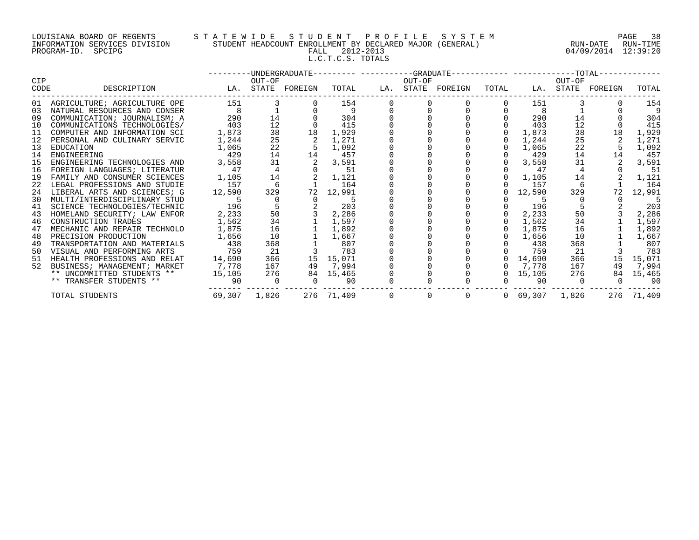## LOUISIANA BOARD OF REGENTS S T A T E W I D E S T U D E N T P R O F I L E S Y S T E M PAGE 38 INFORMATION SERVICES DIVISION STUDENT HEADCOUNT ENROLLMENT BY DECLARED MAJOR (GENERAL) RUN-DATE RUN-TIME PROGRAM-ID. SPCIPG FALL 2012-2013 04/09/2014 12:39:20 L.C.T.C.S. TOTALS

|             |                                       |                                                 |                |                                                                                                     |                         | ---------UNDERGRADUATE---------- ---------GRADUATE------------ -------------TOTAL------------ |                   |                |                            |                |                      |            |
|-------------|---------------------------------------|-------------------------------------------------|----------------|-----------------------------------------------------------------------------------------------------|-------------------------|-----------------------------------------------------------------------------------------------|-------------------|----------------|----------------------------|----------------|----------------------|------------|
| CIP<br>CODE | DESCRIPTION                           |                                                 | OUT-OF         |                                                                                                     | TOTAL                   | OUT-OF                                                                                        |                   | TOTAL          |                            | OUT-OF         | LA. STATE FOREIGN    | TOTAL      |
|             |                                       | LA. STATE FOREIGN                               |                |                                                                                                     |                         |                                                                                               | LA. STATE FOREIGN |                |                            |                |                      |            |
|             | 01 AGRICULTURE; AGRICULTURE OPE       | 151                                             |                | $3^{\circ}$                                                                                         | 154                     |                                                                                               |                   |                | 151                        |                |                      | 154        |
|             | 03 NATURAL RESOURCES AND CONSER       |                                                 |                |                                                                                                     | $\sim$ 9                |                                                                                               |                   |                | 8 <sup>8</sup>             |                |                      |            |
| 09          | COMMUNICATION; JOURNALISM; A          |                                                 | 290            | 14                                                                                                  | 304                     |                                                                                               |                   |                | 290                        | 14             |                      | 304        |
| 10          | COMMUNICATIONS TECHNOLOGIES/          | 403                                             | 12             |                                                                                                     | 415                     |                                                                                               |                   |                | 403                        | 12             |                      | 415        |
| 11          | COMPUTER AND INFORMATION SCI          | 1,873                                           | 38             | 18                                                                                                  | 1,929                   |                                                                                               |                   | $\overline{0}$ | 1,873                      | 38             | 18                   | 1,929      |
|             | 12 PERSONAL AND CULINARY SERVIC       | 1,244                                           | 25             |                                                                                                     | 1,271                   |                                                                                               |                   | $\overline{0}$ | 1,244                      | 25             |                      | 1,271      |
| 13          | EDUCATION                             | 1,065                                           | 22             | $\frac{2}{5}$                                                                                       | 5 1,092                 |                                                                                               |                   | $\overline{0}$ | 1,065                      | 22             |                      | 1,092      |
| 14          | ENGINEERING                           | 429                                             |                | 14                                                                                                  | 14 457                  |                                                                                               |                   |                | $0$ 429                    | 14             | 14                   | 457        |
| 15          | ENGINEERING TECHNOLOGIES AND          | 3,558                                           | 31             | 2                                                                                                   | 3,591                   |                                                                                               |                   |                | $0 \quad 3,558$            | 31             | 2                    | 3,591      |
|             | 16 FOREIGN LANGUAGES; LITERATUR       | $1,105$ $14$ $2$ $1,121$<br>$157$ $6$ $1$ $164$ |                |                                                                                                     |                         |                                                                                               |                   |                | $0$ 47                     | $\frac{4}{3}$  |                      | 51         |
| 19          | FAMILY AND CONSUMER SCIENCES          |                                                 |                |                                                                                                     |                         |                                                                                               |                   |                | $0 \quad 1,105$            | 14             |                      | 1,121      |
|             | 22 LEGAL PROFESSIONS AND STUDIE       |                                                 |                |                                                                                                     |                         |                                                                                               |                   |                | $0$ 157                    |                |                      | - 164      |
| 24          | LIBERAL ARTS AND SCIENCES; G          | 12,590                                          | 329            |                                                                                                     | 72 12,991               |                                                                                               |                   |                | $0\quad 12,590$            | 329            | 72                   | 12,991     |
| 30          | MULTI/INTERDISCIPLINARY STUD          | 5 <sub>5</sub>                                  | $\overline{0}$ |                                                                                                     | $0 \qquad \qquad$<br>-5 |                                                                                               |                   |                | -5                         |                |                      |            |
|             | 41 SCIENCE TECHNOLOGIES/TECHNIC       | 196                                             |                | $\begin{array}{cccc} 5 & 2 & 203 \\ 50 & 3 & 2,286 \\ 34 & 1 & 1,597 \\ 16 & 1 & 1,892 \end{array}$ |                         |                                                                                               |                   |                | $0$ 196                    |                |                      | 203        |
| 43          | HOMELAND SECURITY; LAW ENFOR          | 2,233                                           |                |                                                                                                     |                         |                                                                                               |                   |                | $0 \quad 2,233$            |                | $50 \qquad \qquad 3$ | 2,286      |
| 46          | CONSTRUCTION TRADES                   | 1,562                                           |                |                                                                                                     |                         |                                                                                               |                   |                | $0 \quad 1,562$            |                | 34                   | 1,597      |
| 47          | MECHANIC AND REPAIR TECHNOLO          | 1,875                                           |                |                                                                                                     |                         |                                                                                               |                   |                | $0 \quad 1,875$            | 16             |                      | 1,892      |
| 48          | PRECISION PRODUCTION                  | 1,656                                           | 10             |                                                                                                     | 1,667                   |                                                                                               |                   |                | $0 \quad 1,656$            | 10             |                      | 1,667      |
| 49          | TRANSPORTATION AND MATERIALS          | 438                                             | 368            |                                                                                                     | $1$ 807                 |                                                                                               |                   |                | $0\qquad 438$              | 368            |                      | 807        |
| 50          | VISUAL AND PERFORMING ARTS            | 759                                             | 21             |                                                                                                     | 3 783                   |                                                                                               |                   |                | 759                        | 21             |                      | 783        |
|             | 51 HEALTH PROFESSIONS AND RELAT       | 14,690                                          | 366            |                                                                                                     | 15 15,071               |                                                                                               |                   |                | $0\quad 14,690$            | 366            |                      | 15 15,071  |
| 52          | BUSINESS; MANAGEMENT; MARKET          | 7,778                                           | 167            |                                                                                                     | 49 7,994                |                                                                                               |                   |                | 0 7,778                    | 167            | 49                   | 7,994      |
|             | ** UNCOMMITTED STUDENTS ** 15,105 276 |                                                 |                |                                                                                                     | 84 15,465               |                                                                                               |                   |                | $0\quad 15,105$            | 276            |                      | 84 15,465  |
|             | ** TRANSFER STUDENTS **               | $90$ 0                                          |                |                                                                                                     | $0$ 90                  |                                                                                               |                   |                | $0$ 90                     | $\overline{0}$ | $\overline{0}$       | -90        |
|             | TOTAL STUDENTS                        | 69,307 1,826                                    |                |                                                                                                     |                         |                                                                                               | 276 71,409 0 0 0  |                | $0\quad 69,307\quad 1,826$ |                |                      | 276 71,409 |